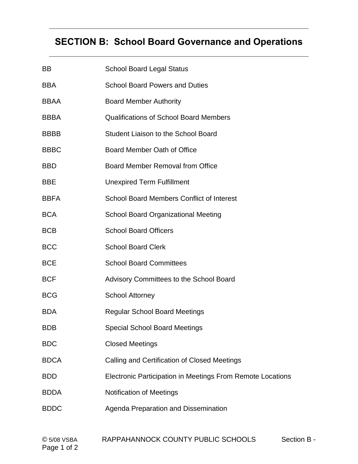# **SECTION B: School Board Governance and Operations**  $\mathcal{L}_\mathcal{L} = \mathcal{L}_\mathcal{L} = \mathcal{L}_\mathcal{L} = \mathcal{L}_\mathcal{L} = \mathcal{L}_\mathcal{L} = \mathcal{L}_\mathcal{L} = \mathcal{L}_\mathcal{L} = \mathcal{L}_\mathcal{L} = \mathcal{L}_\mathcal{L} = \mathcal{L}_\mathcal{L} = \mathcal{L}_\mathcal{L} = \mathcal{L}_\mathcal{L} = \mathcal{L}_\mathcal{L} = \mathcal{L}_\mathcal{L} = \mathcal{L}_\mathcal{L} = \mathcal{L}_\mathcal{L} = \mathcal{L}_\mathcal{L}$

| ВB          | <b>School Board Legal Status</b>                           |
|-------------|------------------------------------------------------------|
| BBA         | <b>School Board Powers and Duties</b>                      |
| BBAA        | <b>Board Member Authority</b>                              |
| BBBA        | <b>Qualifications of School Board Members</b>              |
| BBBB        | Student Liaison to the School Board                        |
| BBBC        | Board Member Oath of Office                                |
| BBD         | Board Member Removal from Office                           |
| BBE         | <b>Unexpired Term Fulfillment</b>                          |
| BBFA        | <b>School Board Members Conflict of Interest</b>           |
| BCA         | <b>School Board Organizational Meeting</b>                 |
| BCB         | <b>School Board Officers</b>                               |
| <b>BCC</b>  | <b>School Board Clerk</b>                                  |
| BCE         | <b>School Board Committees</b>                             |
| BCF         | Advisory Committees to the School Board                    |
| BCG         | <b>School Attorney</b>                                     |
| BDA         | <b>Regular School Board Meetings</b>                       |
| BDB         | <b>Special School Board Meetings</b>                       |
| BDC         | <b>Closed Meetings</b>                                     |
| BDCA        | Calling and Certification of Closed Meetings               |
| BDD         | Electronic Participation in Meetings From Remote Locations |
| BDDA        | <b>Notification of Meetings</b>                            |
| <b>BDDC</b> | Agenda Preparation and Dissemination                       |
|             |                                                            |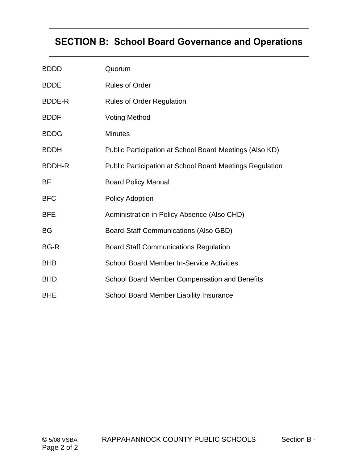# **SECTION B: School Board Governance and Operations**  $\mathcal{L}_\mathcal{L} = \mathcal{L}_\mathcal{L} = \mathcal{L}_\mathcal{L} = \mathcal{L}_\mathcal{L} = \mathcal{L}_\mathcal{L} = \mathcal{L}_\mathcal{L} = \mathcal{L}_\mathcal{L} = \mathcal{L}_\mathcal{L} = \mathcal{L}_\mathcal{L} = \mathcal{L}_\mathcal{L} = \mathcal{L}_\mathcal{L} = \mathcal{L}_\mathcal{L} = \mathcal{L}_\mathcal{L} = \mathcal{L}_\mathcal{L} = \mathcal{L}_\mathcal{L} = \mathcal{L}_\mathcal{L} = \mathcal{L}_\mathcal{L}$

| <b>BDDD</b>   | Quorum                                                          |  |  |
|---------------|-----------------------------------------------------------------|--|--|
| <b>BDDE</b>   | <b>Rules of Order</b>                                           |  |  |
| BDDE-R        | <b>Rules of Order Regulation</b>                                |  |  |
| <b>BDDF</b>   | <b>Voting Method</b>                                            |  |  |
| <b>BDDG</b>   | <b>Minutes</b>                                                  |  |  |
| <b>BDDH</b>   | Public Participation at School Board Meetings (Also KD)         |  |  |
| <b>BDDH-R</b> | <b>Public Participation at School Board Meetings Regulation</b> |  |  |
| <b>BF</b>     | <b>Board Policy Manual</b>                                      |  |  |
| <b>BFC</b>    | <b>Policy Adoption</b>                                          |  |  |
| <b>BFE</b>    | Administration in Policy Absence (Also CHD)                     |  |  |
| <b>BG</b>     | Board-Staff Communications (Also GBD)                           |  |  |
| <b>BG-R</b>   | <b>Board Staff Communications Regulation</b>                    |  |  |
| <b>BHB</b>    | <b>School Board Member In-Service Activities</b>                |  |  |
| <b>BHD</b>    | <b>School Board Member Compensation and Benefits</b>            |  |  |
| <b>BHE</b>    | <b>School Board Member Liability Insurance</b>                  |  |  |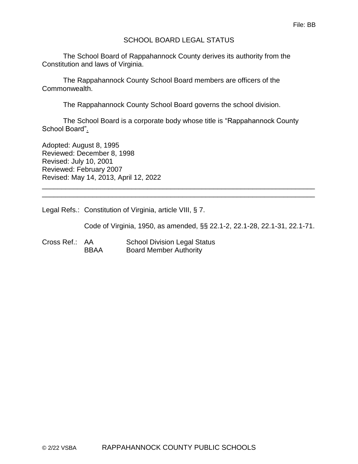### SCHOOL BOARD LEGAL STATUS

The School Board of Rappahannock County derives its authority from the Constitution and laws of Virginia.

The Rappahannock County School Board members are officers of the Commonwealth.

The Rappahannock County School Board governs the school division.

The School Board is a corporate body whose title is "Rappahannock County School Board".

\_\_\_\_\_\_\_\_\_\_\_\_\_\_\_\_\_\_\_\_\_\_\_\_\_\_\_\_\_\_\_\_\_\_\_\_\_\_\_\_\_\_\_\_\_\_\_\_\_\_\_\_\_\_\_\_\_\_\_\_\_\_\_\_\_\_\_\_\_\_ \_\_\_\_\_\_\_\_\_\_\_\_\_\_\_\_\_\_\_\_\_\_\_\_\_\_\_\_\_\_\_\_\_\_\_\_\_\_\_\_\_\_\_\_\_\_\_\_\_\_\_\_\_\_\_\_\_\_\_\_\_\_\_\_\_\_\_\_\_\_

Adopted: August 8, 1995 Reviewed: December 8, 1998 Revised: July 10, 2001 Reviewed: February 2007 Revised: May 14, 2013, April 12, 2022

Legal Refs.: Constitution of Virginia, article VIII, § 7.

Code of Virginia, 1950, as amended, §§ 22.1-2, 22.1-28, 22.1-31, 22.1-71.

Cross Ref.: AA School Division Legal Status BBAA Board Member Authority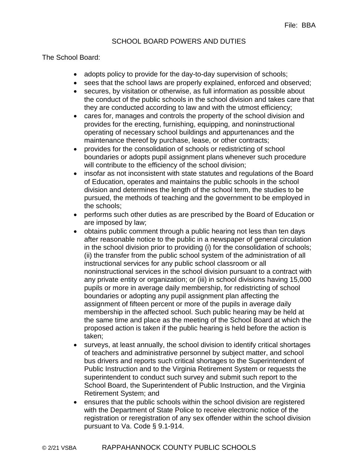### SCHOOL BOARD POWERS AND DUTIES

The School Board:

- adopts policy to provide for the day-to-day supervision of schools;
- sees that the school laws are properly explained, enforced and observed;
- secures, by visitation or otherwise, as full information as possible about the conduct of the public schools in the school division and takes care that they are conducted according to law and with the utmost efficiency;
- cares for, manages and controls the property of the school division and provides for the erecting, furnishing, equipping, and noninstructional operating of necessary school buildings and appurtenances and the maintenance thereof by purchase, lease, or other contracts;
- provides for the consolidation of schools or redistricting of school boundaries or adopts pupil assignment plans whenever such procedure will contribute to the efficiency of the school division;
- insofar as not inconsistent with state statutes and regulations of the Board of Education, operates and maintains the public schools in the school division and determines the length of the school term, the studies to be pursued, the methods of teaching and the government to be employed in the schools;
- performs such other duties as are prescribed by the Board of Education or are imposed by law;
- obtains public comment through a public hearing not less than ten days after reasonable notice to the public in a newspaper of general circulation in the school division prior to providing (i) for the consolidation of schools; (ii) the transfer from the public school system of the administration of all instructional services for any public school classroom or all noninstructional services in the school division pursuant to a contract with any private entity or organization; or (iii) in school divisions having 15,000 pupils or more in average daily membership, for redistricting of school boundaries or adopting any pupil assignment plan affecting the assignment of fifteen percent or more of the pupils in average daily membership in the affected school. Such public hearing may be held at the same time and place as the meeting of the School Board at which the proposed action is taken if the public hearing is held before the action is taken;
- surveys, at least annually, the school division to identify critical shortages of teachers and administrative personnel by subject matter, and school bus drivers and reports such critical shortages to the Superintendent of Public Instruction and to the Virginia Retirement System or requests the superintendent to conduct such survey and submit such report to the School Board, the Superintendent of Public Instruction, and the Virginia Retirement System; and
- ensures that the public schools within the school division are registered with the Department of State Police to receive electronic notice of the registration or reregistration of any sex offender within the school division pursuant to Va. Code § 9.1-914.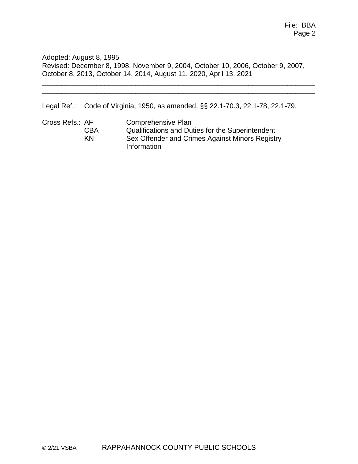Adopted: August 8, 1995 Revised: December 8, 1998, November 9, 2004, October 10, 2006, October 9, 2007, October 8, 2013, October 14, 2014, August 11, 2020, April 13, 2021

\_\_\_\_\_\_\_\_\_\_\_\_\_\_\_\_\_\_\_\_\_\_\_\_\_\_\_\_\_\_\_\_\_\_\_\_\_\_\_\_\_\_\_\_\_\_\_\_\_\_\_\_\_\_\_\_\_\_\_\_\_\_\_\_\_\_\_\_\_\_ \_\_\_\_\_\_\_\_\_\_\_\_\_\_\_\_\_\_\_\_\_\_\_\_\_\_\_\_\_\_\_\_\_\_\_\_\_\_\_\_\_\_\_\_\_\_\_\_\_\_\_\_\_\_\_\_\_\_\_\_\_\_\_\_\_\_\_\_\_\_

Legal Ref.: Code of Virginia, 1950, as amended, §§ 22.1-70.3, 22.1-78, 22.1-79.

Cross Refs.: AF Comprehensive Plan CBA Qualifications and Duties for the Superintendent KN Sex Offender and Crimes Against Minors Registry Information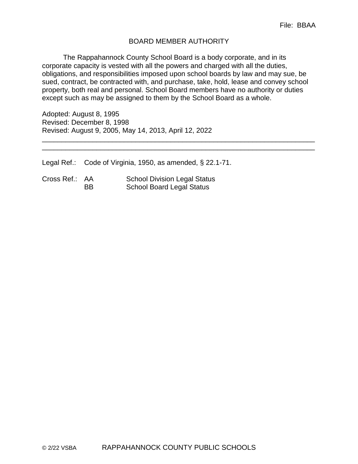### BOARD MEMBER AUTHORITY

The Rappahannock County School Board is a body corporate, and in its corporate capacity is vested with all the powers and charged with all the duties, obligations, and responsibilities imposed upon school boards by law and may sue, be sued, contract, be contracted with, and purchase, take, hold, lease and convey school property, both real and personal. School Board members have no authority or duties except such as may be assigned to them by the School Board as a whole.

\_\_\_\_\_\_\_\_\_\_\_\_\_\_\_\_\_\_\_\_\_\_\_\_\_\_\_\_\_\_\_\_\_\_\_\_\_\_\_\_\_\_\_\_\_\_\_\_\_\_\_\_\_\_\_\_\_\_\_\_\_\_\_\_\_\_\_\_\_\_ \_\_\_\_\_\_\_\_\_\_\_\_\_\_\_\_\_\_\_\_\_\_\_\_\_\_\_\_\_\_\_\_\_\_\_\_\_\_\_\_\_\_\_\_\_\_\_\_\_\_\_\_\_\_\_\_\_\_\_\_\_\_\_\_\_\_\_\_\_\_

Adopted: August 8, 1995 Revised: December 8, 1998 Revised: August 9, 2005, May 14, 2013, April 12, 2022

Legal Ref.: Code of Virginia, 1950, as amended, § 22.1-71.

| Cross Ref.: AA |           | <b>School Division Legal Status</b> |
|----------------|-----------|-------------------------------------|
|                | <b>BB</b> | <b>School Board Legal Status</b>    |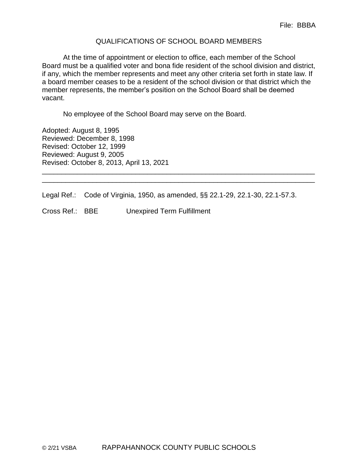#### QUALIFICATIONS OF SCHOOL BOARD MEMBERS

At the time of appointment or election to office, each member of the School Board must be a qualified voter and bona fide resident of the school division and district, if any, which the member represents and meet any other criteria set forth in state law. If a board member ceases to be a resident of the school division or that district which the member represents, the member's position on the School Board shall be deemed vacant.

No employee of the School Board may serve on the Board.

Adopted: August 8, 1995 Reviewed: December 8, 1998 Revised: October 12, 1999 Reviewed: August 9, 2005 Revised: October 8, 2013, April 13, 2021

Legal Ref.: Code of Virginia, 1950, as amended, §§ 22.1-29, 22.1-30, 22.1-57.3.

\_\_\_\_\_\_\_\_\_\_\_\_\_\_\_\_\_\_\_\_\_\_\_\_\_\_\_\_\_\_\_\_\_\_\_\_\_\_\_\_\_\_\_\_\_\_\_\_\_\_\_\_\_\_\_\_\_\_\_\_\_\_\_\_\_\_\_\_\_\_ \_\_\_\_\_\_\_\_\_\_\_\_\_\_\_\_\_\_\_\_\_\_\_\_\_\_\_\_\_\_\_\_\_\_\_\_\_\_\_\_\_\_\_\_\_\_\_\_\_\_\_\_\_\_\_\_\_\_\_\_\_\_\_\_\_\_\_\_\_\_

Cross Ref.: BBE Unexpired Term Fulfillment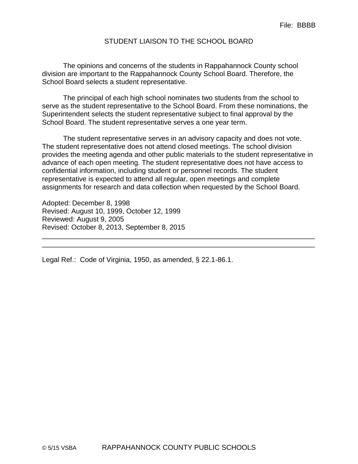#### STUDENT LIAISON TO THE SCHOOL BOARD

The opinions and concerns of the students in Rappahannock County school division are important to the Rappahannock County School Board. Therefore, the School Board selects a student representative.

The principal of each high school nominates two students from the school to serve as the student representative to the School Board. From these nominations, the Superintendent selects the student representative subject to final approval by the School Board. The student representative serves a one year term.

The student representative serves in an advisory capacity and does not vote. The student representative does not attend closed meetings. The school division provides the meeting agenda and other public materials to the student representative in advance of each open meeting. The student representative does not have access to confidential information, including student or personnel records. The student representative is expected to attend all regular, open meetings and complete assignments for research and data collection when requested by the School Board.

\_\_\_\_\_\_\_\_\_\_\_\_\_\_\_\_\_\_\_\_\_\_\_\_\_\_\_\_\_\_\_\_\_\_\_\_\_\_\_\_\_\_\_\_\_\_\_\_\_\_\_\_\_\_\_\_\_\_\_\_\_\_\_\_\_\_\_\_\_\_ \_\_\_\_\_\_\_\_\_\_\_\_\_\_\_\_\_\_\_\_\_\_\_\_\_\_\_\_\_\_\_\_\_\_\_\_\_\_\_\_\_\_\_\_\_\_\_\_\_\_\_\_\_\_\_\_\_\_\_\_\_\_\_\_\_\_\_\_\_\_

Adopted: December 8, 1998 Revised: August 10, 1999, October 12, 1999 Reviewed: August 9, 2005 Revised: October 8, 2013, September 8, 2015

Legal Ref.: Code of Virginia, 1950, as amended, § 22.1-86.1.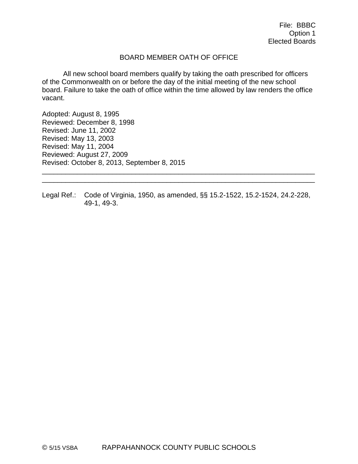### BOARD MEMBER OATH OF OFFICE

All new school board members qualify by taking the oath prescribed for officers of the Commonwealth on or before the day of the initial meeting of the new school board. Failure to take the oath of office within the time allowed by law renders the office vacant.

Adopted: August 8, 1995 Reviewed: December 8, 1998 Revised: June 11, 2002 Revised: May 13, 2003 Revised: May 11, 2004 Reviewed: August 27, 2009 Revised: October 8, 2013, September 8, 2015

Legal Ref.: Code of Virginia, 1950, as amended, §§ 15.2-1522, 15.2-1524, 24.2-228, 49-1, 49-3.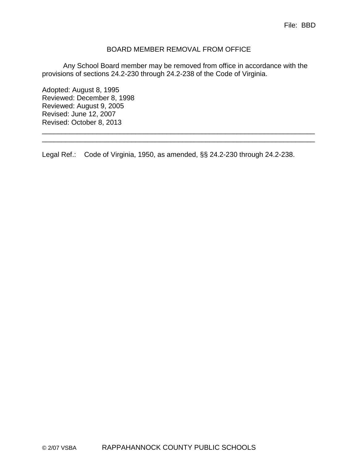#### BOARD MEMBER REMOVAL FROM OFFICE

Any School Board member may be removed from office in accordance with the provisions of sections 24.2-230 through 24.2-238 of the Code of Virginia.

Adopted: August 8, 1995 Reviewed: December 8, 1998 Reviewed: August 9, 2005 Revised: June 12, 2007 Revised: October 8, 2013

Legal Ref.: Code of Virginia, 1950, as amended, §§ 24.2-230 through 24.2-238.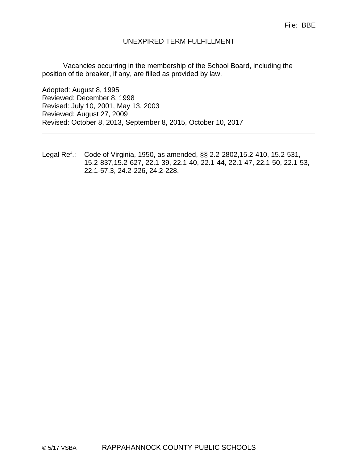#### UNEXPIRED TERM FULFILLMENT

Vacancies occurring in the membership of the School Board, including the position of tie breaker, if any, are filled as provided by law.

Adopted: August 8, 1995 Reviewed: December 8, 1998 Revised: July 10, 2001, May 13, 2003 Reviewed: August 27, 2009 Revised: October 8, 2013, September 8, 2015, October 10, 2017

Legal Ref.: Code of Virginia, 1950, as amended, §§ 2.2-2802,15.2-410, 15.2-531, 15.2-837,15.2-627, 22.1-39, 22.1-40, 22.1-44, 22.1-47, 22.1-50, 22.1-53, 22.1-57.3, 24.2-226, 24.2-228.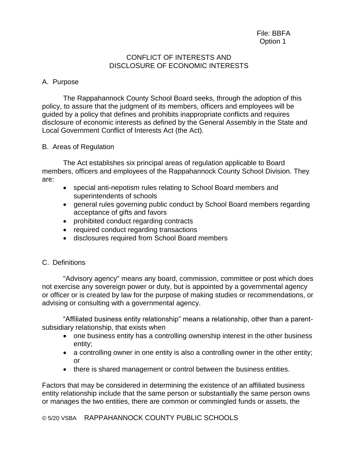#### CONFLICT OF INTERESTS AND DISCLOSURE OF ECONOMIC INTERESTS

### A. Purpose

The Rappahannock County School Board seeks, through the adoption of this policy, to assure that the judgment of its members, officers and employees will be guided by a policy that defines and prohibits inappropriate conflicts and requires disclosure of economic interests as defined by the General Assembly in the State and Local Government Conflict of Interests Act (the Act).

### B. Areas of Regulation

The Act establishes six principal areas of regulation applicable to Board members, officers and employees of the Rappahannock County School Division. They are:

- special anti-nepotism rules relating to School Board members and superintendents of schools
- general rules governing public conduct by School Board members regarding acceptance of gifts and favors
- prohibited conduct regarding contracts
- required conduct regarding transactions
- disclosures required from School Board members
- C. Definitions

"Advisory agency" means any board, commission, committee or post which does not exercise any sovereign power or duty, but is appointed by a governmental agency or officer or is created by law for the purpose of making studies or recommendations, or advising or consulting with a governmental agency.

"Affiliated business entity relationship" means a relationship, other than a parentsubsidiary relationship, that exists when

- one business entity has a controlling ownership interest in the other business entity;
- a controlling owner in one entity is also a controlling owner in the other entity; or
- there is shared management or control between the business entities.

Factors that may be considered in determining the existence of an affiliated business entity relationship include that the same person or substantially the same person owns or manages the two entities, there are common or commingled funds or assets, the

© 5/20 VSBA RAPPAHANNOCK COUNTY PUBLIC SCHOOLS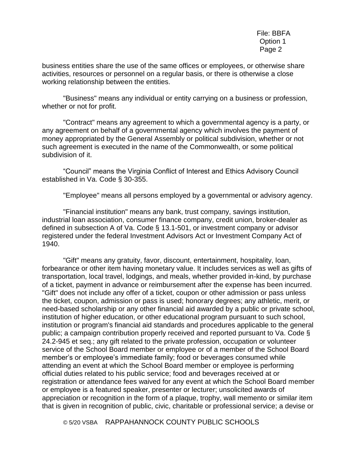business entities share the use of the same offices or employees, or otherwise share activities, resources or personnel on a regular basis, or there is otherwise a close working relationship between the entities.

"Business" means any individual or entity carrying on a business or profession, whether or not for profit.

"Contract" means any agreement to which a governmental agency is a party, or any agreement on behalf of a governmental agency which involves the payment of money appropriated by the General Assembly or political subdivision, whether or not such agreement is executed in the name of the Commonwealth, or some political subdivision of it.

"Council" means the Virginia Conflict of Interest and Ethics Advisory Council established in Va. Code § 30-355.

"Employee" means all persons employed by a governmental or advisory agency.

"Financial institution" means any bank, trust company, savings institution, industrial loan association, consumer finance company, credit union, broker-dealer as defined in subsection A of Va. Code § 13.1-501, or investment company or advisor registered under the federal Investment Advisors Act or Investment Company Act of 1940.

"Gift" means any gratuity, favor, discount, entertainment, hospitality, loan, forbearance or other item having monetary value. It includes services as well as gifts of transportation, local travel, lodgings, and meals, whether provided in-kind, by purchase of a ticket, payment in advance or reimbursement after the expense has been incurred. "Gift" does not include any offer of a ticket, coupon or other admission or pass unless the ticket, coupon, admission or pass is used; honorary degrees; any athletic, merit, or need-based scholarship or any other financial aid awarded by a public or private school, institution of higher education, or other educational program pursuant to such school, institution or program's financial aid standards and procedures applicable to the general public; a campaign contribution properly received and reported pursuant to Va. Code § 24.2-945 et seq.; any gift related to the private profession, occupation or volunteer service of the School Board member or employee or of a member of the School Board member's or employee's immediate family; food or beverages consumed while attending an event at which the School Board member or employee is performing official duties related to his public service; food and beverages received at or registration or attendance fees waived for any event at which the School Board member or employee is a featured speaker, presenter or lecturer; unsolicited awards of appreciation or recognition in the form of a plaque, trophy, wall memento or similar item that is given in recognition of public, civic, charitable or professional service; a devise or

© 5/20 VSBA RAPPAHANNOCK COUNTY PUBLIC SCHOOLS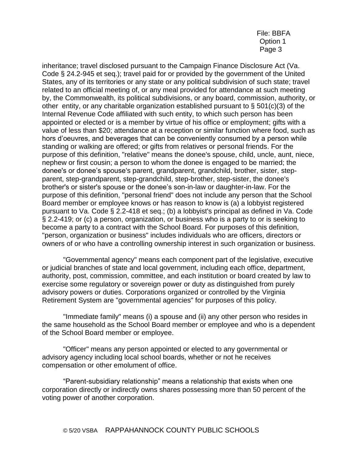inheritance; travel disclosed pursuant to the Campaign Finance Disclosure Act (Va. Code § 24.2-945 et seq.); travel paid for or provided by the government of the United States, any of its territories or any state or any political subdivision of such state; travel related to an official meeting of, or any meal provided for attendance at such meeting by, the Commonwealth, its political subdivisions, or any board, commission, authority, or other entity, or any charitable organization established pursuant to § 501(c)(3) of the Internal Revenue Code affiliated with such entity, to which such person has been appointed or elected or is a member by virtue of his office or employment; gifts with a value of less than \$20; attendance at a reception or similar function where food, such as hors d'oeuvres, and beverages that can be conveniently consumed by a person while standing or walking are offered; or gifts from relatives or personal friends. For the purpose of this definition, "relative" means the donee's spouse, child, uncle, aunt, niece, nephew or first cousin; a person to whom the donee is engaged to be married; the donee's or donee's spouse's parent, grandparent, grandchild, brother, sister, stepparent, step-grandparent, step-grandchild, step-brother, step-sister, the donee's brother's or sister's spouse or the donee's son-in-law or daughter-in-law. For the purpose of this definition, "personal friend" does not include any person that the School Board member or employee knows or has reason to know is (a) a lobbyist registered pursuant to Va. Code § 2.2-418 et seq.; (b) a lobbyist's principal as defined in Va. Code § 2.2-419; or (c) a person, organization, or business who is a party to or is seeking to become a party to a contract with the School Board. For purposes of this definition, "person, organization or business" includes individuals who are officers, directors or owners of or who have a controlling ownership interest in such organization or business.

"Governmental agency" means each component part of the legislative, executive or judicial branches of state and local government, including each office, department, authority, post, commission, committee, and each institution or board created by law to exercise some regulatory or sovereign power or duty as distinguished from purely advisory powers or duties. Corporations organized or controlled by the Virginia Retirement System are "governmental agencies" for purposes of this policy.

"Immediate family" means (i) a spouse and (ii) any other person who resides in the same household as the School Board member or employee and who is a dependent of the School Board member or employee.

"Officer" means any person appointed or elected to any governmental or advisory agency including local school boards, whether or not he receives compensation or other emolument of office.

"Parent-subsidiary relationship" means a relationship that exists when one corporation directly or indirectly owns shares possessing more than 50 percent of the voting power of another corporation.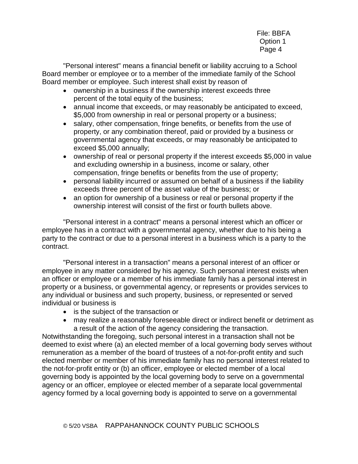"Personal interest" means a financial benefit or liability accruing to a School Board member or employee or to a member of the immediate family of the School Board member or employee. Such interest shall exist by reason of

- ownership in a business if the ownership interest exceeds three percent of the total equity of the business;
- annual income that exceeds, or may reasonably be anticipated to exceed, \$5,000 from ownership in real or personal property or a business;
- salary, other compensation, fringe benefits, or benefits from the use of property, or any combination thereof, paid or provided by a business or governmental agency that exceeds, or may reasonably be anticipated to exceed \$5,000 annually;
- ownership of real or personal property if the interest exceeds \$5,000 in value and excluding ownership in a business, income or salary, other compensation, fringe benefits or benefits from the use of property;
- personal liability incurred or assumed on behalf of a business if the liability exceeds three percent of the asset value of the business; or
- an option for ownership of a business or real or personal property if the ownership interest will consist of the first or fourth bullets above.

"Personal interest in a contract" means a personal interest which an officer or employee has in a contract with a governmental agency, whether due to his being a party to the contract or due to a personal interest in a business which is a party to the contract.

"Personal interest in a transaction" means a personal interest of an officer or employee in any matter considered by his agency. Such personal interest exists when an officer or employee or a member of his immediate family has a personal interest in property or a business, or governmental agency, or represents or provides services to any individual or business and such property, business, or represented or served individual or business is

- is the subject of the transaction or
- may realize a reasonably foreseeable direct or indirect benefit or detriment as a result of the action of the agency considering the transaction.

Notwithstanding the foregoing, such personal interest in a transaction shall not be deemed to exist where (a) an elected member of a local governing body serves without remuneration as a member of the board of trustees of a not-for-profit entity and such elected member or member of his immediate family has no personal interest related to the not-for-profit entity or (b) an officer, employee or elected member of a local governing body is appointed by the local governing body to serve on a governmental agency or an officer, employee or elected member of a separate local governmental agency formed by a local governing body is appointed to serve on a governmental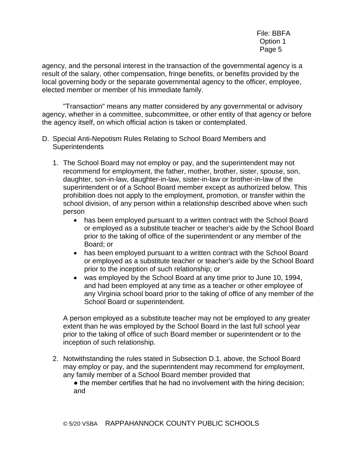agency, and the personal interest in the transaction of the governmental agency is a result of the salary, other compensation, fringe benefits, or benefits provided by the local governing body or the separate governmental agency to the officer, employee, elected member or member of his immediate family.

"Transaction" means any matter considered by any governmental or advisory agency, whether in a committee, subcommittee, or other entity of that agency or before the agency itself, on which official action is taken or contemplated.

- D. Special Anti-Nepotism Rules Relating to School Board Members and **Superintendents** 
	- 1. The School Board may not employ or pay, and the superintendent may not recommend for employment, the father, mother, brother, sister, spouse, son, daughter, son-in-law, daughter-in-law, sister-in-law or brother-in-law of the superintendent or of a School Board member except as authorized below. This prohibition does not apply to the employment, promotion, or transfer within the school division, of any person within a relationship described above when such person
		- has been employed pursuant to a written contract with the School Board or employed as a substitute teacher or teacher's aide by the School Board prior to the taking of office of the superintendent or any member of the Board; or
		- has been employed pursuant to a written contract with the School Board or employed as a substitute teacher or teacher's aide by the School Board prior to the inception of such relationship; or
		- was employed by the School Board at any time prior to June 10, 1994, and had been employed at any time as a teacher or other employee of any Virginia school board prior to the taking of office of any member of the School Board or superintendent.

A person employed as a substitute teacher may not be employed to any greater extent than he was employed by the School Board in the last full school year prior to the taking of office of such Board member or superintendent or to the inception of such relationship.

- 2. Notwithstanding the rules stated in Subsection D.1. above, the School Board may employ or pay, and the superintendent may recommend for employment, any family member of a School Board member provided that
	- the member certifies that he had no involvement with the hiring decision; and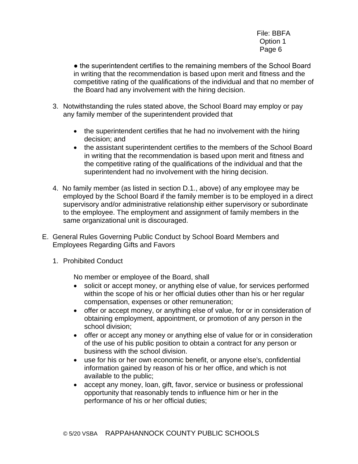• the superintendent certifies to the remaining members of the School Board in writing that the recommendation is based upon merit and fitness and the competitive rating of the qualifications of the individual and that no member of the Board had any involvement with the hiring decision.

- 3. Notwithstanding the rules stated above, the School Board may employ or pay any family member of the superintendent provided that
	- the superintendent certifies that he had no involvement with the hiring decision; and
	- the assistant superintendent certifies to the members of the School Board in writing that the recommendation is based upon merit and fitness and the competitive rating of the qualifications of the individual and that the superintendent had no involvement with the hiring decision.
- 4. No family member (as listed in section D.1., above) of any employee may be employed by the School Board if the family member is to be employed in a direct supervisory and/or administrative relationship either supervisory or subordinate to the employee. The employment and assignment of family members in the same organizational unit is discouraged.
- E. General Rules Governing Public Conduct by School Board Members and Employees Regarding Gifts and Favors
	- 1. Prohibited Conduct

No member or employee of the Board, shall

- solicit or accept money, or anything else of value, for services performed within the scope of his or her official duties other than his or her regular compensation, expenses or other remuneration;
- offer or accept money, or anything else of value, for or in consideration of obtaining employment, appointment, or promotion of any person in the school division;
- offer or accept any money or anything else of value for or in consideration of the use of his public position to obtain a contract for any person or business with the school division.
- use for his or her own economic benefit, or anyone else's, confidential information gained by reason of his or her office, and which is not available to the public;
- accept any money, loan, gift, favor, service or business or professional opportunity that reasonably tends to influence him or her in the performance of his or her official duties;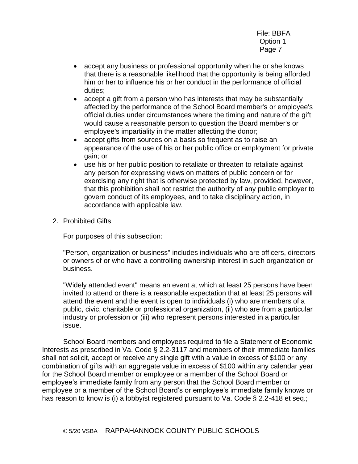- accept any business or professional opportunity when he or she knows that there is a reasonable likelihood that the opportunity is being afforded him or her to influence his or her conduct in the performance of official duties;
- accept a gift from a person who has interests that may be substantially affected by the performance of the School Board member's or employee's official duties under circumstances where the timing and nature of the gift would cause a reasonable person to question the Board member's or employee's impartiality in the matter affecting the donor;
- accept gifts from sources on a basis so frequent as to raise an appearance of the use of his or her public office or employment for private gain; or
- use his or her public position to retaliate or threaten to retaliate against any person for expressing views on matters of public concern or for exercising any right that is otherwise protected by law, provided, however, that this prohibition shall not restrict the authority of any public employer to govern conduct of its employees, and to take disciplinary action, in accordance with applicable law.
- 2. Prohibited Gifts

For purposes of this subsection:

"Person, organization or business" includes individuals who are officers, directors or owners of or who have a controlling ownership interest in such organization or business.

"Widely attended event" means an event at which at least 25 persons have been invited to attend or there is a reasonable expectation that at least 25 persons will attend the event and the event is open to individuals (i) who are members of a public, civic, charitable or professional organization, (ii) who are from a particular industry or profession or (iii) who represent persons interested in a particular issue.

School Board members and employees required to file a Statement of Economic Interests as prescribed in Va. Code § 2.2-3117 and members of their immediate families shall not solicit, accept or receive any single gift with a value in excess of \$100 or any combination of gifts with an aggregate value in excess of \$100 within any calendar year for the School Board member or employee or a member of the School Board or employee's immediate family from any person that the School Board member or employee or a member of the School Board's or employee's immediate family knows or has reason to know is (i) a lobbyist registered pursuant to Va. Code § 2.2-418 et seq.;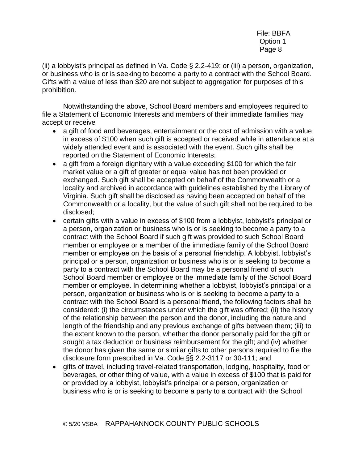(ii) a lobbyist's principal as defined in Va. Code § 2.2-419; or (iii) a person, organization, or business who is or is seeking to become a party to a contract with the School Board. Gifts with a value of less than \$20 are not subject to aggregation for purposes of this prohibition.

Notwithstanding the above, School Board members and employees required to file a Statement of Economic Interests and members of their immediate families may accept or receive

- a gift of food and beverages, entertainment or the cost of admission with a value in excess of \$100 when such gift is accepted or received while in attendance at a widely attended event and is associated with the event. Such gifts shall be reported on the Statement of Economic Interests;
- a gift from a foreign dignitary with a value exceeding \$100 for which the fair market value or a gift of greater or equal value has not been provided or exchanged. Such gift shall be accepted on behalf of the Commonwealth or a locality and archived in accordance with guidelines established by the Library of Virginia. Such gift shall be disclosed as having been accepted on behalf of the Commonwealth or a locality, but the value of such gift shall not be required to be disclosed;
- certain gifts with a value in excess of \$100 from a lobbyist, lobbyist's principal or a person, organization or business who is or is seeking to become a party to a contract with the School Board if such gift was provided to such School Board member or employee or a member of the immediate family of the School Board member or employee on the basis of a personal friendship. A lobbyist, lobbyist's principal or a person, organization or business who is or is seeking to become a party to a contract with the School Board may be a personal friend of such School Board member or employee or the immediate family of the School Board member or employee. In determining whether a lobbyist, lobbyist's principal or a person, organization or business who is or is seeking to become a party to a contract with the School Board is a personal friend, the following factors shall be considered: (i) the circumstances under which the gift was offered; (ii) the history of the relationship between the person and the donor, including the nature and length of the friendship and any previous exchange of gifts between them; (iii) to the extent known to the person, whether the donor personally paid for the gift or sought a tax deduction or business reimbursement for the gift; and (iv) whether the donor has given the same or similar gifts to other persons required to file the disclosure form prescribed in Va. Code §§ 2.2-3117 or 30-111; and
- gifts of travel, including travel-related transportation, lodging, hospitality, food or beverages, or other thing of value, with a value in excess of \$100 that is paid for or provided by a lobbyist, lobbyist's principal or a person, organization or business who is or is seeking to become a party to a contract with the School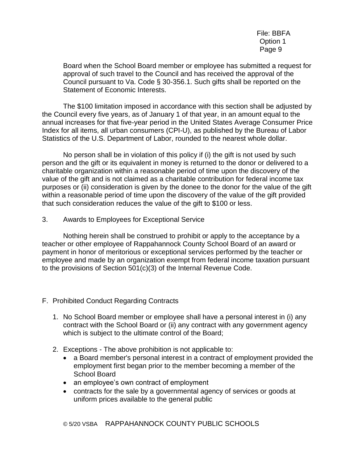Board when the School Board member or employee has submitted a request for approval of such travel to the Council and has received the approval of the Council pursuant to Va. Code § 30-356.1. Such gifts shall be reported on the Statement of Economic Interests.

The \$100 limitation imposed in accordance with this section shall be adjusted by the Council every five years, as of January 1 of that year, in an amount equal to the annual increases for that five-year period in the United States Average Consumer Price Index for all items, all urban consumers (CPI-U), as published by the Bureau of Labor Statistics of the U.S. Department of Labor, rounded to the nearest whole dollar.

No person shall be in violation of this policy if (i) the gift is not used by such person and the gift or its equivalent in money is returned to the donor or delivered to a charitable organization within a reasonable period of time upon the discovery of the value of the gift and is not claimed as a charitable contribution for federal income tax purposes or (ii) consideration is given by the donee to the donor for the value of the gift within a reasonable period of time upon the discovery of the value of the gift provided that such consideration reduces the value of the gift to \$100 or less.

3. Awards to Employees for Exceptional Service

Nothing herein shall be construed to prohibit or apply to the acceptance by a teacher or other employee of Rappahannock County School Board of an award or payment in honor of meritorious or exceptional services performed by the teacher or employee and made by an organization exempt from federal income taxation pursuant to the provisions of Section 501(c)(3) of the Internal Revenue Code.

- F. Prohibited Conduct Regarding Contracts
	- 1. No School Board member or employee shall have a personal interest in (i) any contract with the School Board or (ii) any contract with any government agency which is subject to the ultimate control of the Board;
	- 2. Exceptions The above prohibition is not applicable to:
		- a Board member's personal interest in a contract of employment provided the employment first began prior to the member becoming a member of the School Board
		- an employee's own contract of employment
		- contracts for the sale by a governmental agency of services or goods at uniform prices available to the general public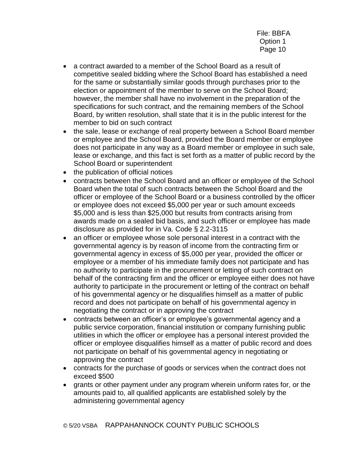- a contract awarded to a member of the School Board as a result of competitive sealed bidding where the School Board has established a need for the same or substantially similar goods through purchases prior to the election or appointment of the member to serve on the School Board; however, the member shall have no involvement in the preparation of the specifications for such contract, and the remaining members of the School Board, by written resolution, shall state that it is in the public interest for the member to bid on such contract
- the sale, lease or exchange of real property between a School Board member or employee and the School Board, provided the Board member or employee does not participate in any way as a Board member or employee in such sale, lease or exchange, and this fact is set forth as a matter of public record by the School Board or superintendent
- the publication of official notices
- contracts between the School Board and an officer or employee of the School Board when the total of such contracts between the School Board and the officer or employee of the School Board or a business controlled by the officer or employee does not exceed \$5,000 per year or such amount exceeds \$5,000 and is less than \$25,000 but results from contracts arising from awards made on a sealed bid basis, and such officer or employee has made disclosure as provided for in Va. Code § 2.2-3115
- an officer or employee whose sole personal interest in a contract with the governmental agency is by reason of income from the contracting firm or governmental agency in excess of \$5,000 per year, provided the officer or employee or a member of his immediate family does not participate and has no authority to participate in the procurement or letting of such contract on behalf of the contracting firm and the officer or employee either does not have authority to participate in the procurement or letting of the contract on behalf of his governmental agency or he disqualifies himself as a matter of public record and does not participate on behalf of his governmental agency in negotiating the contract or in approving the contract
- contracts between an officer's or employee's governmental agency and a public service corporation, financial institution or company furnishing public utilities in which the officer or employee has a personal interest provided the officer or employee disqualifies himself as a matter of public record and does not participate on behalf of his governmental agency in negotiating or approving the contract
- contracts for the purchase of goods or services when the contract does not exceed \$500
- grants or other payment under any program wherein uniform rates for, or the amounts paid to, all qualified applicants are established solely by the administering governmental agency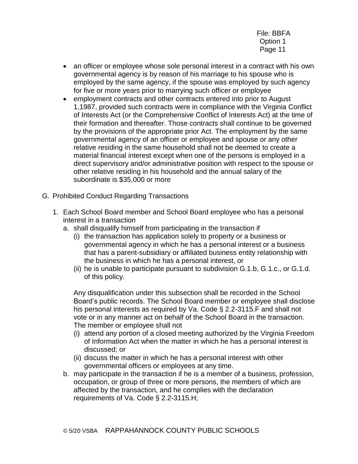- an officer or employee whose sole personal interest in a contract with his own governmental agency is by reason of his marriage to his spouse who is employed by the same agency, if the spouse was employed by such agency for five or more years prior to marrying such officer or employee
- employment contracts and other contracts entered into prior to August 1,1987, provided such contracts were in compliance with the Virginia Conflict of Interests Act (or the Comprehensive Conflict of Interests Act) at the time of their formation and thereafter. Those contracts shall continue to be governed by the provisions of the appropriate prior Act. The employment by the same governmental agency of an officer or employee and spouse or any other relative residing in the same household shall not be deemed to create a material financial interest except when one of the persons is employed in a direct supervisory and/or administrative position with respect to the spouse or other relative residing in his household and the annual salary of the subordinate is \$35,000 or more
- G. Prohibited Conduct Regarding Transactions
	- 1. Each School Board member and School Board employee who has a personal interest in a transaction
		- a. shall disqualify himself from participating in the transaction if
			- (i) the transaction has application solely to property or a business or governmental agency in which he has a personal interest or a business that has a parent-subsidiary or affiliated business entity relationship with the business in which he has a personal interest, or
			- (ii) he is unable to participate pursuant to subdivision G.1.b, G.1.c., or G.1.d. of this policy.

Any disqualification under this subsection shall be recorded in the School Board's public records. The School Board member or employee shall disclose his personal interests as required by Va. Code § 2.2-3115.F and shall not vote or in any manner act on behalf of the School Board in the transaction. The member or employee shall not

- (i) attend any portion of a closed meeting authorized by the Virginia Freedom of Information Act when the matter in which he has a personal interest is discussed; or
- (ii) discuss the matter in which he has a personal interest with other governmental officers or employees at any time.
- b. may participate in the transaction if he is a member of a business, profession, occupation, or group of three or more persons, the members of which are affected by the transaction, and he complies with the declaration requirements of Va. Code § 2.2-3115.H;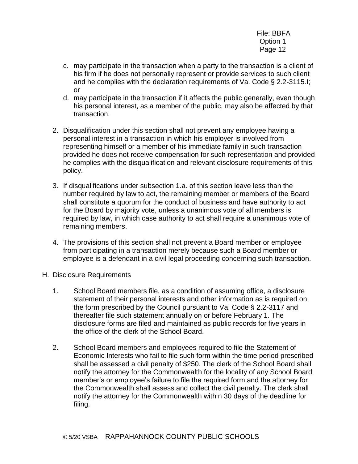- c. may participate in the transaction when a party to the transaction is a client of his firm if he does not personally represent or provide services to such client and he complies with the declaration requirements of Va. Code § 2.2-3115.I; or
- d. may participate in the transaction if it affects the public generally, even though his personal interest, as a member of the public, may also be affected by that transaction.
- 2. Disqualification under this section shall not prevent any employee having a personal interest in a transaction in which his employer is involved from representing himself or a member of his immediate family in such transaction provided he does not receive compensation for such representation and provided he complies with the disqualification and relevant disclosure requirements of this policy.
- 3. If disqualifications under subsection 1.a. of this section leave less than the number required by law to act, the remaining member or members of the Board shall constitute a quorum for the conduct of business and have authority to act for the Board by majority vote, unless a unanimous vote of all members is required by law, in which case authority to act shall require a unanimous vote of remaining members.
- 4. The provisions of this section shall not prevent a Board member or employee from participating in a transaction merely because such a Board member or employee is a defendant in a civil legal proceeding concerning such transaction.
- H. Disclosure Requirements
	- 1. School Board members file, as a condition of assuming office, a disclosure statement of their personal interests and other information as is required on the form prescribed by the Council pursuant to Va. Code § 2.2-3117 and thereafter file such statement annually on or before February 1. The disclosure forms are filed and maintained as public records for five years in the office of the clerk of the School Board.
	- 2. School Board members and employees required to file the Statement of Economic Interests who fail to file such form within the time period prescribed shall be assessed a civil penalty of \$250. The clerk of the School Board shall notify the attorney for the Commonwealth for the locality of any School Board member's or employee's failure to file the required form and the attorney for the Commonwealth shall assess and collect the civil penalty. The clerk shall notify the attorney for the Commonwealth within 30 days of the deadline for filing.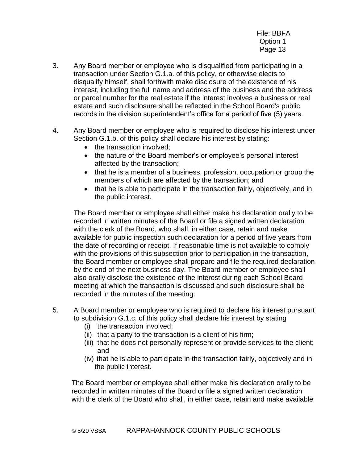- 3. Any Board member or employee who is disqualified from participating in a transaction under Section G.1.a. of this policy, or otherwise elects to disqualify himself, shall forthwith make disclosure of the existence of his interest, including the full name and address of the business and the address or parcel number for the real estate if the interest involves a business or real estate and such disclosure shall be reflected in the School Board's public records in the division superintendent's office for a period of five (5) years.
- 4. Any Board member or employee who is required to disclose his interest under Section G.1.b. of this policy shall declare his interest by stating:
	- the transaction involved:
	- the nature of the Board member's or employee's personal interest affected by the transaction;
	- that he is a member of a business, profession, occupation or group the members of which are affected by the transaction; and
	- that he is able to participate in the transaction fairly, objectively, and in the public interest.

The Board member or employee shall either make his declaration orally to be recorded in written minutes of the Board or file a signed written declaration with the clerk of the Board, who shall, in either case, retain and make available for public inspection such declaration for a period of five years from the date of recording or receipt. If reasonable time is not available to comply with the provisions of this subsection prior to participation in the transaction, the Board member or employee shall prepare and file the required declaration by the end of the next business day. The Board member or employee shall also orally disclose the existence of the interest during each School Board meeting at which the transaction is discussed and such disclosure shall be recorded in the minutes of the meeting.

- 5. A Board member or employee who is required to declare his interest pursuant to subdivision G.1.c. of this policy shall declare his interest by stating
	- (i) the transaction involved;
	- (ii) that a party to the transaction is a client of his firm;
	- (iii) that he does not personally represent or provide services to the client; and
	- (iv) that he is able to participate in the transaction fairly, objectively and in the public interest.

The Board member or employee shall either make his declaration orally to be recorded in written minutes of the Board or file a signed written declaration with the clerk of the Board who shall, in either case, retain and make available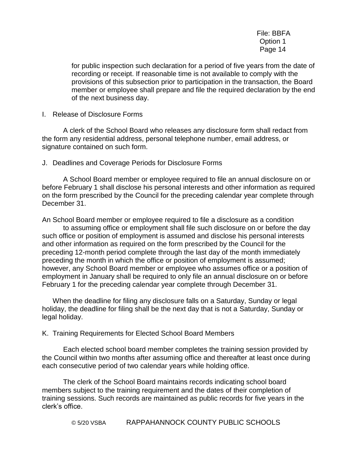for public inspection such declaration for a period of five years from the date of recording or receipt. If reasonable time is not available to comply with the provisions of this subsection prior to participation in the transaction, the Board member or employee shall prepare and file the required declaration by the end of the next business day.

I. Release of Disclosure Forms

A clerk of the School Board who releases any disclosure form shall redact from the form any residential address, personal telephone number, email address, or signature contained on such form.

J. Deadlines and Coverage Periods for Disclosure Forms

A School Board member or employee required to file an annual disclosure on or before February 1 shall disclose his personal interests and other information as required on the form prescribed by the Council for the preceding calendar year complete through December 31.

An School Board member or employee required to file a disclosure as a condition to assuming office or employment shall file such disclosure on or before the day such office or position of employment is assumed and disclose his personal interests and other information as required on the form prescribed by the Council for the preceding 12-month period complete through the last day of the month immediately preceding the month in which the office or position of employment is assumed; however, any School Board member or employee who assumes office or a position of employment in January shall be required to only file an annual disclosure on or before February 1 for the preceding calendar year complete through December 31.

When the deadline for filing any disclosure falls on a Saturday, Sunday or legal holiday, the deadline for filing shall be the next day that is not a Saturday, Sunday or legal holiday.

K. Training Requirements for Elected School Board Members

Each elected school board member completes the training session provided by the Council within two months after assuming office and thereafter at least once during each consecutive period of two calendar years while holding office.

The clerk of the School Board maintains records indicating school board members subject to the training requirement and the dates of their completion of training sessions. Such records are maintained as public records for five years in the clerk's office.

© 5/20 VSBA RAPPAHANNOCK COUNTY PUBLIC SCHOOLS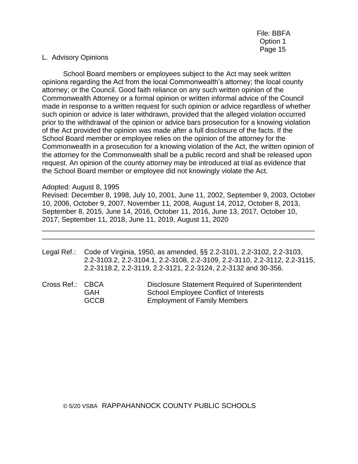#### L. Advisory Opinions

School Board members or employees subject to the Act may seek written opinions regarding the Act from the local Commonwealth's attorney; the local county attorney; or the Council. Good faith reliance on any such written opinion of the Commonwealth Attorney or a formal opinion or written informal advice of the Council made in response to a written request for such opinion or advice regardless of whether such opinion or advice is later withdrawn, provided that the alleged violation occurred prior to the withdrawal of the opinion or advice bars prosecution for a knowing violation of the Act provided the opinion was made after a full disclosure of the facts. If the School Board member or employee relies on the opinion of the attorney for the Commonwealth in a prosecution for a knowing violation of the Act, the written opinion of the attorney for the Commonwealth shall be a public record and shall be released upon request. An opinion of the county attorney may be introduced at trial as evidence that the School Board member or employee did not knowingly violate the Act.

#### Adopted: August 8, 1995

Revised: December 8, 1998, July 10, 2001, June 11, 2002, September 9, 2003, October 10, 2006, October 9, 2007, November 11, 2008, August 14, 2012, October 8, 2013, September 8, 2015, June 14, 2016, October 11, 2016, June 13, 2017, October 10, 2017, September 11, 2018, June 11, 2019, August 11, 2020

- Legal Ref.: Code of Virginia, 1950, as amended, §§ 2.2-3101, 2.2-3102, 2.2-3103, 2.2-3103.2, 2.2-3104.1, 2.2-3108, 2.2-3109, 2.2-3110, 2.2-3112, 2.2-3115, 2.2-3118.2, 2.2-3119, 2.2-3121, 2.2-3124, 2.2-3132 and 30-356.
- Cross Ref.: CBCA Disclosure Statement Required of Superintendent GAH School Employee Conflict of Interests GCCB Employment of Family Members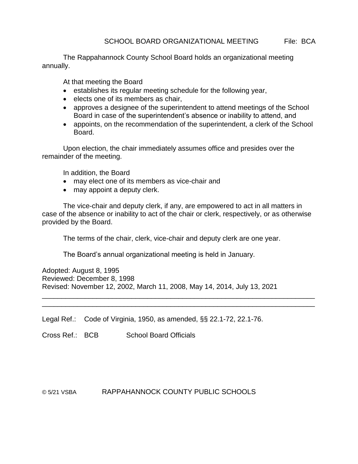The Rappahannock County School Board holds an organizational meeting annually.

At that meeting the Board

- establishes its regular meeting schedule for the following year,
- elects one of its members as chair,
- approves a designee of the superintendent to attend meetings of the School Board in case of the superintendent's absence or inability to attend, and
- appoints, on the recommendation of the superintendent, a clerk of the School Board.

Upon election, the chair immediately assumes office and presides over the remainder of the meeting.

In addition, the Board

- may elect one of its members as vice-chair and
- may appoint a deputy clerk.

The vice-chair and deputy clerk, if any, are empowered to act in all matters in case of the absence or inability to act of the chair or clerk, respectively, or as otherwise provided by the Board.

The terms of the chair, clerk, vice-chair and deputy clerk are one year.

\_\_\_\_\_\_\_\_\_\_\_\_\_\_\_\_\_\_\_\_\_\_\_\_\_\_\_\_\_\_\_\_\_\_\_\_\_\_\_\_\_\_\_\_\_\_\_\_\_\_\_\_\_\_\_\_\_\_\_\_\_\_\_\_\_\_\_\_\_\_ \_\_\_\_\_\_\_\_\_\_\_\_\_\_\_\_\_\_\_\_\_\_\_\_\_\_\_\_\_\_\_\_\_\_\_\_\_\_\_\_\_\_\_\_\_\_\_\_\_\_\_\_\_\_\_\_\_\_\_\_\_\_\_\_\_\_\_\_\_\_

The Board's annual organizational meeting is held in January.

Adopted: August 8, 1995 Reviewed: December 8, 1998 Revised: November 12, 2002, March 11, 2008, May 14, 2014, July 13, 2021

Legal Ref.: Code of Virginia, 1950, as amended, §§ 22.1-72, 22.1-76.

Cross Ref.: BCB School Board Officials

#### © 5/21 VSBA RAPPAHANNOCK COUNTY PUBLIC SCHOOLS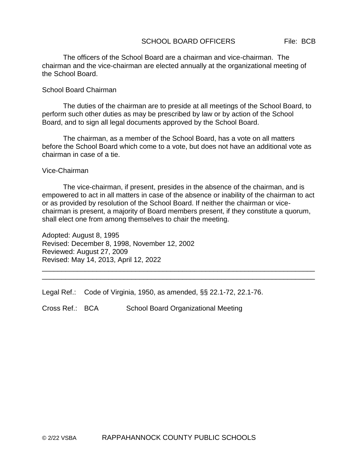#### SCHOOL BOARD OFFICERS File: BCB

The officers of the School Board are a chairman and vice-chairman. The chairman and the vice-chairman are elected annually at the organizational meeting of the School Board.

#### School Board Chairman

The duties of the chairman are to preside at all meetings of the School Board, to perform such other duties as may be prescribed by law or by action of the School Board, and to sign all legal documents approved by the School Board.

The chairman, as a member of the School Board, has a vote on all matters before the School Board which come to a vote, but does not have an additional vote as chairman in case of a tie.

#### Vice-Chairman

The vice-chairman, if present, presides in the absence of the chairman, and is empowered to act in all matters in case of the absence or inability of the chairman to act or as provided by resolution of the School Board. If neither the chairman or vicechairman is present, a majority of Board members present, if they constitute a quorum, shall elect one from among themselves to chair the meeting.

\_\_\_\_\_\_\_\_\_\_\_\_\_\_\_\_\_\_\_\_\_\_\_\_\_\_\_\_\_\_\_\_\_\_\_\_\_\_\_\_\_\_\_\_\_\_\_\_\_\_\_\_\_\_\_\_\_\_\_\_\_\_\_\_\_\_\_\_\_\_ \_\_\_\_\_\_\_\_\_\_\_\_\_\_\_\_\_\_\_\_\_\_\_\_\_\_\_\_\_\_\_\_\_\_\_\_\_\_\_\_\_\_\_\_\_\_\_\_\_\_\_\_\_\_\_\_\_\_\_\_\_\_\_\_\_\_\_\_\_\_

Adopted: August 8, 1995 Revised: December 8, 1998, November 12, 2002 Reviewed: August 27, 2009 Revised: May 14, 2013, April 12, 2022

Legal Ref.: Code of Virginia, 1950, as amended, §§ 22.1-72, 22.1-76.

Cross Ref.: BCA School Board Organizational Meeting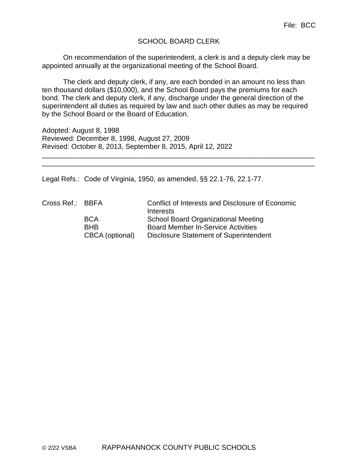### SCHOOL BOARD CLERK

On recommendation of the superintendent, a clerk is and a deputy clerk may be appointed annually at the organizational meeting of the School Board.

The clerk and deputy clerk, if any, are each bonded in an amount no less than ten thousand dollars (\$10,000), and the School Board pays the premiums for each bond. The clerk and deputy clerk, if any, discharge under the general direction of the superintendent all duties as required by law and such other duties as may be required by the School Board or the Board of Education.

\_\_\_\_\_\_\_\_\_\_\_\_\_\_\_\_\_\_\_\_\_\_\_\_\_\_\_\_\_\_\_\_\_\_\_\_\_\_\_\_\_\_\_\_\_\_\_\_\_\_\_\_\_\_\_\_\_\_\_\_\_\_\_\_\_\_\_\_\_\_ \_\_\_\_\_\_\_\_\_\_\_\_\_\_\_\_\_\_\_\_\_\_\_\_\_\_\_\_\_\_\_\_\_\_\_\_\_\_\_\_\_\_\_\_\_\_\_\_\_\_\_\_\_\_\_\_\_\_\_\_\_\_\_\_\_\_\_\_\_\_

Adopted: August 8, 1998 Reviewed: December 8, 1998, August 27, 2009 Revised: October 8, 2013, September 8, 2015, April 12, 2022

Legal Refs.: Code of Virginia, 1950, as amended, §§ 22.1-76, 22.1-77.

Cross Ref.: BBFA Conflict of Interests and Disclosure of Economic **Interests** BCA School Board Organizational Meeting BHB Board Member In-Service Activities CBCA (optional) Disclosure Statement of Superintendent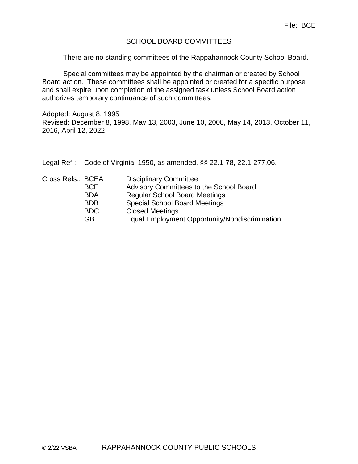### SCHOOL BOARD COMMITTEES

There are no standing committees of the Rappahannock County School Board.

Special committees may be appointed by the chairman or created by School Board action. These committees shall be appointed or created for a specific purpose and shall expire upon completion of the assigned task unless School Board action authorizes temporary continuance of such committees.

Adopted: August 8, 1995 Revised: December 8, 1998, May 13, 2003, June 10, 2008, May 14, 2013, October 11, 2016, April 12, 2022

\_\_\_\_\_\_\_\_\_\_\_\_\_\_\_\_\_\_\_\_\_\_\_\_\_\_\_\_\_\_\_\_\_\_\_\_\_\_\_\_\_\_\_\_\_\_\_\_\_\_\_\_\_\_\_\_\_\_\_\_\_\_\_\_\_\_\_\_\_\_ \_\_\_\_\_\_\_\_\_\_\_\_\_\_\_\_\_\_\_\_\_\_\_\_\_\_\_\_\_\_\_\_\_\_\_\_\_\_\_\_\_\_\_\_\_\_\_\_\_\_\_\_\_\_\_\_\_\_\_\_\_\_\_\_\_\_\_\_\_\_

Legal Ref.: Code of Virginia, 1950, as amended, §§ 22.1-78, 22.1-277.06.

| Cross Refs.: BCEA |            | <b>Disciplinary Committee</b>                  |
|-------------------|------------|------------------------------------------------|
|                   | <b>BCF</b> | Advisory Committees to the School Board        |
|                   | <b>BDA</b> | <b>Regular School Board Meetings</b>           |
|                   | <b>BDB</b> | <b>Special School Board Meetings</b>           |
|                   | <b>BDC</b> | <b>Closed Meetings</b>                         |
|                   | GВ         | Equal Employment Opportunity/Nondiscrimination |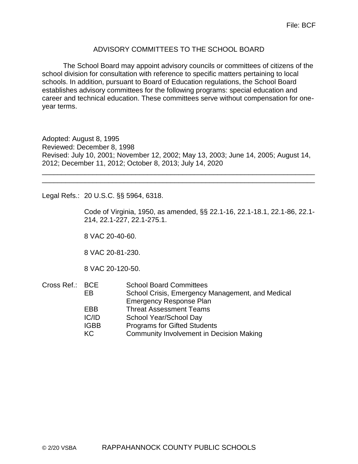### ADVISORY COMMITTEES TO THE SCHOOL BOARD

The School Board may appoint advisory councils or committees of citizens of the school division for consultation with reference to specific matters pertaining to local schools. In addition, pursuant to Board of Education regulations, the School Board establishes advisory committees for the following programs: special education and career and technical education. These committees serve without compensation for oneyear terms.

Adopted: August 8, 1995 Reviewed: December 8, 1998 Revised: July 10, 2001; November 12, 2002; May 13, 2003; June 14, 2005; August 14, 2012; December 11, 2012; October 8, 2013; July 14, 2020

\_\_\_\_\_\_\_\_\_\_\_\_\_\_\_\_\_\_\_\_\_\_\_\_\_\_\_\_\_\_\_\_\_\_\_\_\_\_\_\_\_\_\_\_\_\_\_\_\_\_\_\_\_\_\_\_\_\_\_\_\_\_\_\_\_\_\_\_\_\_ \_\_\_\_\_\_\_\_\_\_\_\_\_\_\_\_\_\_\_\_\_\_\_\_\_\_\_\_\_\_\_\_\_\_\_\_\_\_\_\_\_\_\_\_\_\_\_\_\_\_\_\_\_\_\_\_\_\_\_\_\_\_\_\_\_\_\_\_\_\_

Legal Refs.: 20 U.S.C. §§ 5964, 6318.

Code of Virginia, 1950, as amended, §§ 22.1-16, 22.1-18.1, 22.1-86, 22.1- 214, 22.1-227, 22.1-275.1.

8 VAC 20-40-60.

8 VAC 20-81-230.

8 VAC 20-120-50.

| Cross Ref.: BCE |             | <b>School Board Committees</b>                   |
|-----------------|-------------|--------------------------------------------------|
|                 | FB.         | School Crisis, Emergency Management, and Medical |
|                 |             | <b>Emergency Response Plan</b>                   |
|                 | EBB         | <b>Threat Assessment Teams</b>                   |
|                 | IC/ID       | School Year/School Day                           |
|                 | <b>IGBB</b> | <b>Programs for Gifted Students</b>              |
|                 | KC.         | <b>Community Involvement in Decision Making</b>  |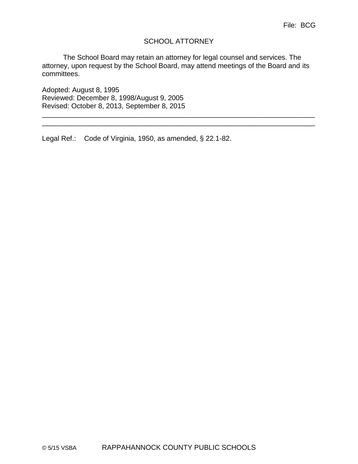### SCHOOL ATTORNEY

The School Board may retain an attorney for legal counsel and services. The attorney, upon request by the School Board, may attend meetings of the Board and its committees.

\_\_\_\_\_\_\_\_\_\_\_\_\_\_\_\_\_\_\_\_\_\_\_\_\_\_\_\_\_\_\_\_\_\_\_\_\_\_\_\_\_\_\_\_\_\_\_\_\_\_\_\_\_\_\_\_\_\_\_\_\_\_\_\_\_\_\_\_\_\_ \_\_\_\_\_\_\_\_\_\_\_\_\_\_\_\_\_\_\_\_\_\_\_\_\_\_\_\_\_\_\_\_\_\_\_\_\_\_\_\_\_\_\_\_\_\_\_\_\_\_\_\_\_\_\_\_\_\_\_\_\_\_\_\_\_\_\_\_\_\_

Adopted: August 8, 1995 Reviewed: December 8, 1998/August 9, 2005 Revised: October 8, 2013, September 8, 2015

Legal Ref.: Code of Virginia, 1950, as amended, § 22.1-82.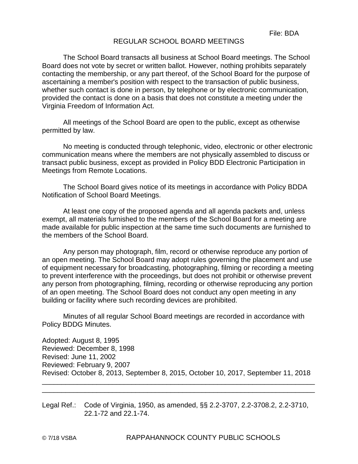### REGULAR SCHOOL BOARD MEETINGS

The School Board transacts all business at School Board meetings. The School Board does not vote by secret or written ballot. However, nothing prohibits separately contacting the membership, or any part thereof, of the School Board for the purpose of ascertaining a member's position with respect to the transaction of public business, whether such contact is done in person, by telephone or by electronic communication, provided the contact is done on a basis that does not constitute a meeting under the Virginia Freedom of Information Act.

All meetings of the School Board are open to the public, except as otherwise permitted by law.

No meeting is conducted through telephonic, video, electronic or other electronic communication means where the members are not physically assembled to discuss or transact public business, except as provided in Policy BDD Electronic Participation in Meetings from Remote Locations.

The School Board gives notice of its meetings in accordance with Policy BDDA Notification of School Board Meetings.

At least one copy of the proposed agenda and all agenda packets and, unless exempt, all materials furnished to the members of the School Board for a meeting are made available for public inspection at the same time such documents are furnished to the members of the School Board.

Any person may photograph, film, record or otherwise reproduce any portion of an open meeting. The School Board may adopt rules governing the placement and use of equipment necessary for broadcasting, photographing, filming or recording a meeting to prevent interference with the proceedings, but does not prohibit or otherwise prevent any person from photographing, filming, recording or otherwise reproducing any portion of an open meeting. The School Board does not conduct any open meeting in any building or facility where such recording devices are prohibited.

Minutes of all regular School Board meetings are recorded in accordance with Policy BDDG Minutes.

Adopted: August 8, 1995 Reviewed: December 8, 1998 Revised: June 11, 2002 Reviewed: February 9, 2007 Revised: October 8, 2013, September 8, 2015, October 10, 2017, September 11, 2018

\_\_\_\_\_\_\_\_\_\_\_\_\_\_\_\_\_\_\_\_\_\_\_\_\_\_\_\_\_\_\_\_\_\_\_\_\_\_\_\_\_\_\_\_\_\_\_\_\_\_\_\_\_\_\_\_\_\_\_\_\_\_\_\_\_\_\_\_\_\_ \_\_\_\_\_\_\_\_\_\_\_\_\_\_\_\_\_\_\_\_\_\_\_\_\_\_\_\_\_\_\_\_\_\_\_\_\_\_\_\_\_\_\_\_\_\_\_\_\_\_\_\_\_\_\_\_\_\_\_\_\_\_\_\_\_\_\_\_\_\_

Legal Ref.: Code of Virginia, 1950, as amended, §§ 2.2-3707, 2.2-3708.2, 2.2-3710, 22.1-72 and 22.1-74.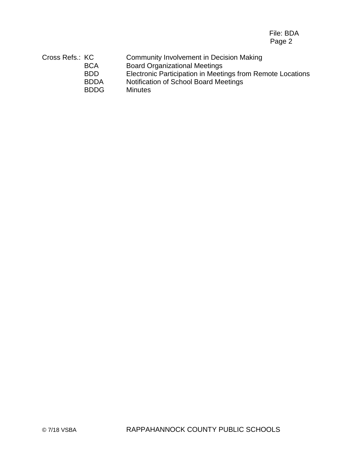File: BDA Page 2

Cross Refs.: KC Community Involvement in Decision Making BCA Board Organizational Meetings BDD Electronic Participation in Meetings from Remote Locations BDDA Notification of School Board Meetings BDDG Minutes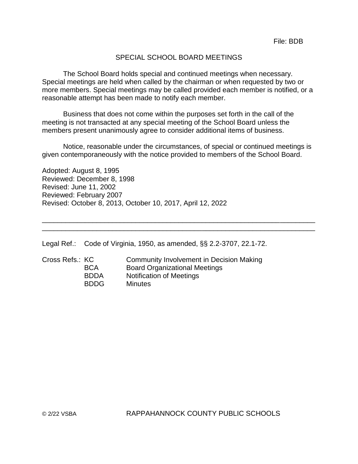### SPECIAL SCHOOL BOARD MEETINGS

The School Board holds special and continued meetings when necessary. Special meetings are held when called by the chairman or when requested by two or more members. Special meetings may be called provided each member is notified, or a reasonable attempt has been made to notify each member.

Business that does not come within the purposes set forth in the call of the meeting is not transacted at any special meeting of the School Board unless the members present unanimously agree to consider additional items of business.

Notice, reasonable under the circumstances, of special or continued meetings is given contemporaneously with the notice provided to members of the School Board.

\_\_\_\_\_\_\_\_\_\_\_\_\_\_\_\_\_\_\_\_\_\_\_\_\_\_\_\_\_\_\_\_\_\_\_\_\_\_\_\_\_\_\_\_\_\_\_\_\_\_\_\_\_\_\_\_\_\_\_\_\_\_\_\_\_\_\_\_\_\_ \_\_\_\_\_\_\_\_\_\_\_\_\_\_\_\_\_\_\_\_\_\_\_\_\_\_\_\_\_\_\_\_\_\_\_\_\_\_\_\_\_\_\_\_\_\_\_\_\_\_\_\_\_\_\_\_\_\_\_\_\_\_\_\_\_\_\_\_\_\_

Adopted: August 8, 1995 Reviewed: December 8, 1998 Revised: June 11, 2002 Reviewed: February 2007 Revised: October 8, 2013, October 10, 2017, April 12, 2022

Legal Ref.: Code of Virginia, 1950, as amended, §§ 2.2-3707, 22.1-72.

| Cross Refs.: KC |             | Community Involvement in Decision Making |
|-----------------|-------------|------------------------------------------|
|                 | <b>BCA</b>  | <b>Board Organizational Meetings</b>     |
|                 | <b>BDDA</b> | <b>Notification of Meetings</b>          |
|                 | <b>BDDG</b> | <b>Minutes</b>                           |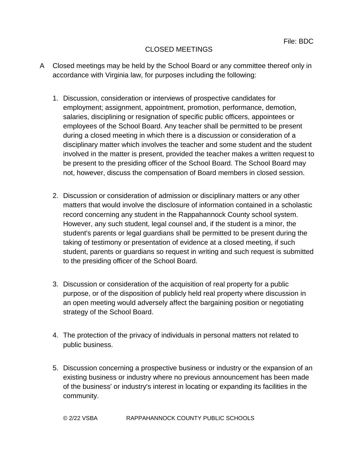## CLOSED MEETINGS

- A Closed meetings may be held by the School Board or any committee thereof only in accordance with Virginia law, for purposes including the following:
	- 1. Discussion, consideration or interviews of prospective candidates for employment; assignment, appointment, promotion, performance, demotion, salaries, disciplining or resignation of specific public officers, appointees or employees of the School Board. Any teacher shall be permitted to be present during a closed meeting in which there is a discussion or consideration of a disciplinary matter which involves the teacher and some student and the student involved in the matter is present, provided the teacher makes a written request to be present to the presiding officer of the School Board. The School Board may not, however, discuss the compensation of Board members in closed session.
	- 2. Discussion or consideration of admission or disciplinary matters or any other matters that would involve the disclosure of information contained in a scholastic record concerning any student in the Rappahannock County school system. However, any such student, legal counsel and, if the student is a minor, the student's parents or legal guardians shall be permitted to be present during the taking of testimony or presentation of evidence at a closed meeting, if such student, parents or guardians so request in writing and such request is submitted to the presiding officer of the School Board.
	- 3. Discussion or consideration of the acquisition of real property for a public purpose, or of the disposition of publicly held real property where discussion in an open meeting would adversely affect the bargaining position or negotiating strategy of the School Board.
	- 4. The protection of the privacy of individuals in personal matters not related to public business.
	- 5. Discussion concerning a prospective business or industry or the expansion of an existing business or industry where no previous announcement has been made of the business' or industry's interest in locating or expanding its facilities in the community.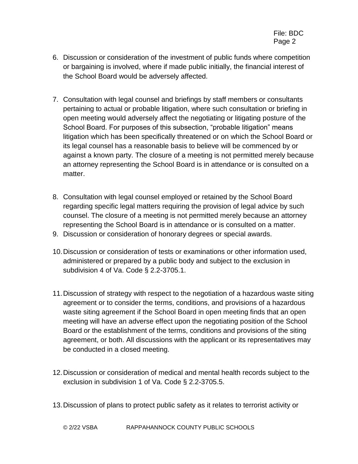- 6. Discussion or consideration of the investment of public funds where competition or bargaining is involved, where if made public initially, the financial interest of the School Board would be adversely affected.
- 7. Consultation with legal counsel and briefings by staff members or consultants pertaining to actual or probable litigation, where such consultation or briefing in open meeting would adversely affect the negotiating or litigating posture of the School Board. For purposes of this subsection, "probable litigation" means litigation which has been specifically threatened or on which the School Board or its legal counsel has a reasonable basis to believe will be commenced by or against a known party. The closure of a meeting is not permitted merely because an attorney representing the School Board is in attendance or is consulted on a matter.
- 8. Consultation with legal counsel employed or retained by the School Board regarding specific legal matters requiring the provision of legal advice by such counsel. The closure of a meeting is not permitted merely because an attorney representing the School Board is in attendance or is consulted on a matter.
- 9. Discussion or consideration of honorary degrees or special awards.
- 10.Discussion or consideration of tests or examinations or other information used, administered or prepared by a public body and subject to the exclusion in subdivision 4 of Va. Code § 2.2-3705.1.
- 11.Discussion of strategy with respect to the negotiation of a hazardous waste siting agreement or to consider the terms, conditions, and provisions of a hazardous waste siting agreement if the School Board in open meeting finds that an open meeting will have an adverse effect upon the negotiating position of the School Board or the establishment of the terms, conditions and provisions of the siting agreement, or both. All discussions with the applicant or its representatives may be conducted in a closed meeting.
- 12.Discussion or consideration of medical and mental health records subject to the exclusion in subdivision 1 of Va. Code § 2.2-3705.5.
- 13.Discussion of plans to protect public safety as it relates to terrorist activity or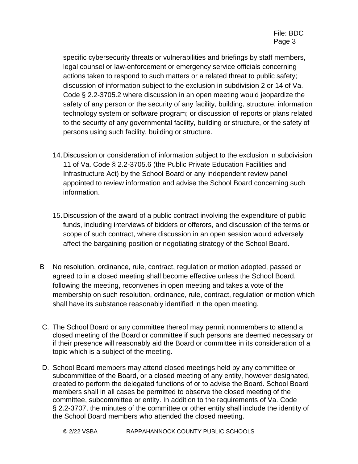specific cybersecurity threats or vulnerabilities and briefings by staff members, legal counsel or law-enforcement or emergency service officials concerning actions taken to respond to such matters or a related threat to public safety; discussion of information subject to the exclusion in subdivision 2 or 14 of Va. Code § 2.2-3705.2 where discussion in an open meeting would jeopardize the safety of any person or the security of any facility, building, structure, information technology system or software program; or discussion of reports or plans related to the security of any governmental facility, building or structure, or the safety of persons using such facility, building or structure.

- 14.Discussion or consideration of information subject to the exclusion in subdivision 11 of Va. Code § 2.2-3705.6 (the Public Private Education Facilities and Infrastructure Act) by the School Board or any independent review panel appointed to review information and advise the School Board concerning such information.
- 15.Discussion of the award of a public contract involving the expenditure of public funds, including interviews of bidders or offerors, and discussion of the terms or scope of such contract, where discussion in an open session would adversely affect the bargaining position or negotiating strategy of the School Board.
- B No resolution, ordinance, rule, contract, regulation or motion adopted, passed or agreed to in a closed meeting shall become effective unless the School Board, following the meeting, reconvenes in open meeting and takes a vote of the membership on such resolution, ordinance, rule, contract, regulation or motion which shall have its substance reasonably identified in the open meeting.
- C. The School Board or any committee thereof may permit nonmembers to attend a closed meeting of the Board or committee if such persons are deemed necessary or if their presence will reasonably aid the Board or committee in its consideration of a topic which is a subject of the meeting.
- D. School Board members may attend closed meetings held by any committee or subcommittee of the Board, or a closed meeting of any entity, however designated, created to perform the delegated functions of or to advise the Board. School Board members shall in all cases be permitted to observe the closed meeting of the committee, subcommittee or entity. In addition to the requirements of Va. Code § 2.2-3707, the minutes of the committee or other entity shall include the identity of the School Board members who attended the closed meeting.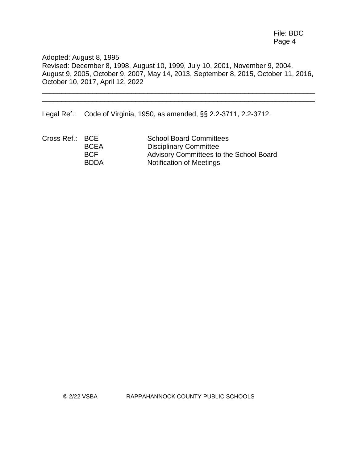File: BDC Page 4

Adopted: August 8, 1995 Revised: December 8, 1998, August 10, 1999, July 10, 2001, November 9, 2004, August 9, 2005, October 9, 2007, May 14, 2013, September 8, 2015, October 11, 2016, October 10, 2017, April 12, 2022

\_\_\_\_\_\_\_\_\_\_\_\_\_\_\_\_\_\_\_\_\_\_\_\_\_\_\_\_\_\_\_\_\_\_\_\_\_\_\_\_\_\_\_\_\_\_\_\_\_\_\_\_\_\_\_\_\_\_\_\_\_\_\_\_\_\_\_\_\_\_ \_\_\_\_\_\_\_\_\_\_\_\_\_\_\_\_\_\_\_\_\_\_\_\_\_\_\_\_\_\_\_\_\_\_\_\_\_\_\_\_\_\_\_\_\_\_\_\_\_\_\_\_\_\_\_\_\_\_\_\_\_\_\_\_\_\_\_\_\_\_

Legal Ref.: Code of Virginia, 1950, as amended, §§ 2.2-3711, 2.2-3712.

| Cross Ref.: BCE |             | <b>School Board Committees</b>          |
|-----------------|-------------|-----------------------------------------|
|                 | <b>BCEA</b> | <b>Disciplinary Committee</b>           |
|                 | <b>BCF</b>  | Advisory Committees to the School Board |
|                 | <b>BDDA</b> | Notification of Meetings                |

© 2/22 VSBA RAPPAHANNOCK COUNTY PUBLIC SCHOOLS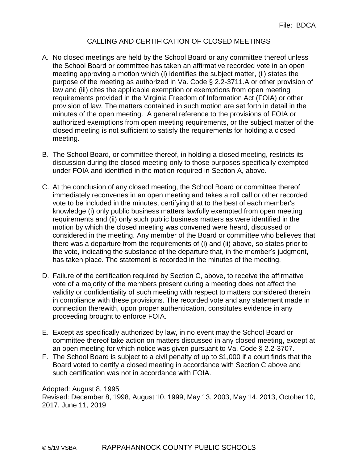### CALLING AND CERTIFICATION OF CLOSED MEETINGS

- A. No closed meetings are held by the School Board or any committee thereof unless the School Board or committee has taken an affirmative recorded vote in an open meeting approving a motion which (i) identifies the subject matter, (ii) states the purpose of the meeting as authorized in Va. Code § 2.2-3711.A or other provision of law and (iii) cites the applicable exemption or exemptions from open meeting requirements provided in the Virginia Freedom of Information Act (FOIA) or other provision of law. The matters contained in such motion are set forth in detail in the minutes of the open meeting. A general reference to the provisions of FOIA or authorized exemptions from open meeting requirements, or the subject matter of the closed meeting is not sufficient to satisfy the requirements for holding a closed meeting.
- B. The School Board, or committee thereof, in holding a closed meeting, restricts its discussion during the closed meeting only to those purposes specifically exempted under FOIA and identified in the motion required in Section A, above.
- C. At the conclusion of any closed meeting, the School Board or committee thereof immediately reconvenes in an open meeting and takes a roll call or other recorded vote to be included in the minutes, certifying that to the best of each member's knowledge (i) only public business matters lawfully exempted from open meeting requirements and (ii) only such public business matters as were identified in the motion by which the closed meeting was convened were heard, discussed or considered in the meeting. Any member of the Board or committee who believes that there was a departure from the requirements of (i) and (ii) above, so states prior to the vote, indicating the substance of the departure that, in the member's judgment, has taken place. The statement is recorded in the minutes of the meeting.
- D. Failure of the certification required by Section C, above, to receive the affirmative vote of a majority of the members present during a meeting does not affect the validity or confidentiality of such meeting with respect to matters considered therein in compliance with these provisions. The recorded vote and any statement made in connection therewith, upon proper authentication, constitutes evidence in any proceeding brought to enforce FOIA.
- E. Except as specifically authorized by law, in no event may the School Board or committee thereof take action on matters discussed in any closed meeting, except at an open meeting for which notice was given pursuant to Va. Code § 2.2-3707.
- F. The School Board is subject to a civil penalty of up to \$1,000 if a court finds that the Board voted to certify a closed meeting in accordance with Section C above and such certification was not in accordance with FOIA.

Adopted: August 8, 1995 Revised: December 8, 1998, August 10, 1999, May 13, 2003, May 14, 2013, October 10, 2017, June 11, 2019 \_\_\_\_\_\_\_\_\_\_\_\_\_\_\_\_\_\_\_\_\_\_\_\_\_\_\_\_\_\_\_\_\_\_\_\_\_\_\_\_\_\_\_\_\_\_\_\_\_\_\_\_\_\_\_\_\_\_\_\_\_\_\_\_\_\_\_\_\_\_

\_\_\_\_\_\_\_\_\_\_\_\_\_\_\_\_\_\_\_\_\_\_\_\_\_\_\_\_\_\_\_\_\_\_\_\_\_\_\_\_\_\_\_\_\_\_\_\_\_\_\_\_\_\_\_\_\_\_\_\_\_\_\_\_\_\_\_\_\_\_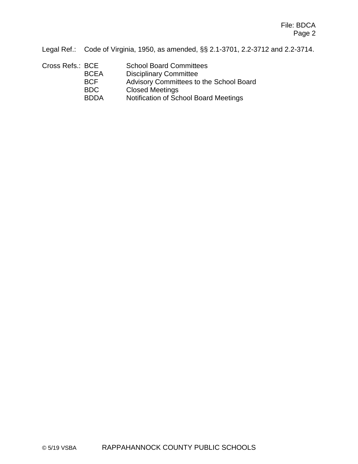Legal Ref.: Code of Virginia, 1950, as amended, §§ 2.1-3701, 2.2-3712 and 2.2-3714.

| Cross Refs.: BCE | <b>School Board Committees</b>          |
|------------------|-----------------------------------------|
| <b>BCEA</b>      | <b>Disciplinary Committee</b>           |
| <b>BCF</b>       | Advisory Committees to the School Board |
| <b>BDC</b>       | <b>Closed Meetings</b>                  |
| <b>BDDA</b>      | Notification of School Board Meetings   |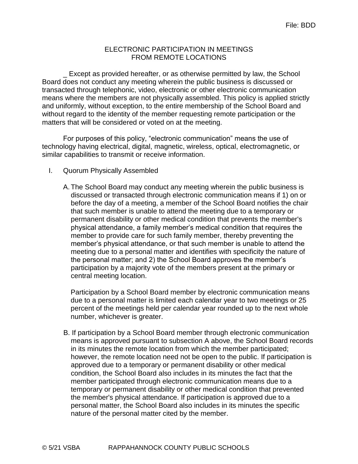### ELECTRONIC PARTICIPATION IN MEETINGS FROM REMOTE LOCATIONS

\_ Except as provided hereafter, or as otherwise permitted by law, the School Board does not conduct any meeting wherein the public business is discussed or transacted through telephonic, video, electronic or other electronic communication means where the members are not physically assembled. This policy is applied strictly and uniformly, without exception, to the entire membership of the School Board and without regard to the identity of the member requesting remote participation or the matters that will be considered or voted on at the meeting.

For purposes of this policy, "electronic communication" means the use of technology having electrical, digital, magnetic, wireless, optical, electromagnetic, or similar capabilities to transmit or receive information.

#### I. Quorum Physically Assembled

A.The School Board may conduct any meeting wherein the public business is discussed or transacted through electronic communication means if 1) on or before the day of a meeting, a member of the School Board notifies the chair that such member is unable to attend the meeting due to a temporary or permanent disability or other medical condition that prevents the member's physical attendance, a family member's medical condition that requires the member to provide care for such family member, thereby preventing the member's physical attendance, or that such member is unable to attend the meeting due to a personal matter and identifies with specificity the nature of the personal matter; and 2) the School Board approves the member's participation by a majority vote of the members present at the primary or central meeting location.

Participation by a School Board member by electronic communication means due to a personal matter is limited each calendar year to two meetings or 25 percent of the meetings held per calendar year rounded up to the next whole number, whichever is greater.

B. If participation by a School Board member through electronic communication means is approved pursuant to subsection A above, the School Board records in its minutes the remote location from which the member participated; however, the remote location need not be open to the public. If participation is approved due to a temporary or permanent disability or other medical condition, the School Board also includes in its minutes the fact that the member participated through electronic communication means due to a temporary or permanent disability or other medical condition that prevented the member's physical attendance. If participation is approved due to a personal matter, the School Board also includes in its minutes the specific nature of the personal matter cited by the member.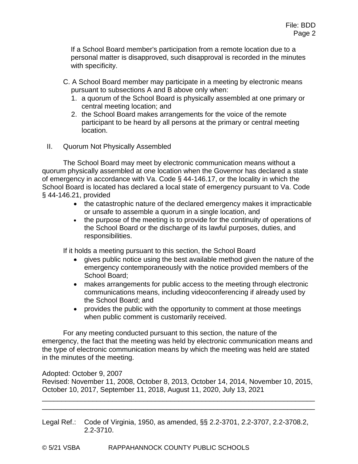If a School Board member's participation from a remote location due to a personal matter is disapproved, such disapproval is recorded in the minutes with specificity.

- C. A School Board member may participate in a meeting by electronic means pursuant to subsections A and B above only when:
	- 1. a quorum of the School Board is physically assembled at one primary or central meeting location; and
	- 2. the School Board makes arrangements for the voice of the remote participant to be heard by all persons at the primary or central meeting location.
- II. Quorum Not Physically Assembled

The School Board may meet by electronic communication means without a quorum physically assembled at one location when the Governor has declared a state of emergency in accordance with Va. Code § 44-146.17, or the locality in which the School Board is located has declared a local state of emergency pursuant to Va. Code § 44-146.21, provided

- the catastrophic nature of the declared emergency makes it impracticable or unsafe to assemble a quorum in a single location, and
- the purpose of the meeting is to provide for the continuity of operations of the School Board or the discharge of its lawful purposes, duties, and responsibilities.

If it holds a meeting pursuant to this section, the School Board

- $\bullet$  gives public notice using the best available method given the nature of the emergency contemporaneously with the notice provided members of the School Board;
- makes arrangements for public access to the meeting through electronic communications means, including videoconferencing if already used by the School Board; and
- provides the public with the opportunity to comment at those meetings when public comment is customarily received.

For any meeting conducted pursuant to this section, the nature of the emergency, the fact that the meeting was held by electronic communication means and the type of electronic communication means by which the meeting was held are stated in the minutes of the meeting.

Adopted: October 9, 2007

Revised: November 11, 2008, October 8, 2013, October 14, 2014, November 10, 2015, October 10, 2017, September 11, 2018, August 11, 2020, July 13, 2021

\_\_\_\_\_\_\_\_\_\_\_\_\_\_\_\_\_\_\_\_\_\_\_\_\_\_\_\_\_\_\_\_\_\_\_\_\_\_\_\_\_\_\_\_\_\_\_\_\_\_\_\_\_\_\_\_\_\_\_\_\_\_\_\_\_\_\_\_\_\_ \_\_\_\_\_\_\_\_\_\_\_\_\_\_\_\_\_\_\_\_\_\_\_\_\_\_\_\_\_\_\_\_\_\_\_\_\_\_\_\_\_\_\_\_\_\_\_\_\_\_\_\_\_\_\_\_\_\_\_\_\_\_\_\_\_\_\_\_\_\_

Legal Ref.: Code of Virginia, 1950, as amended, §§ 2.2-3701, 2.2-3707, 2.2-3708.2, 2.2-3710.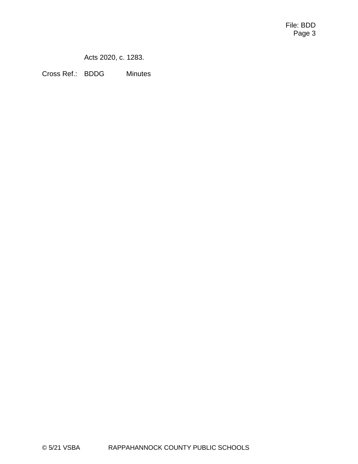Acts 2020, c. 1283.

Cross Ref.: BDDG Minutes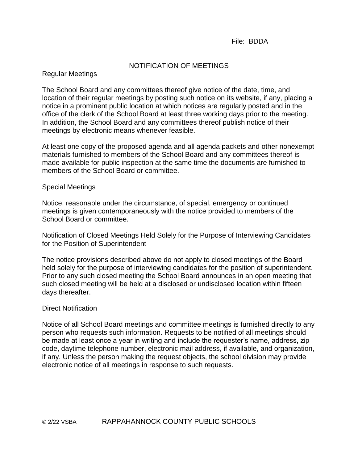#### File: BDDA

#### NOTIFICATION OF MEETINGS

### Regular Meetings

The School Board and any committees thereof give notice of the date, time, and location of their regular meetings by posting such notice on its website, if any, placing a notice in a prominent public location at which notices are regularly posted and in the office of the clerk of the School Board at least three working days prior to the meeting. In addition, the School Board and any committees thereof publish notice of their meetings by electronic means whenever feasible.

At least one copy of the proposed agenda and all agenda packets and other nonexempt materials furnished to members of the School Board and any committees thereof is made available for public inspection at the same time the documents are furnished to members of the School Board or committee.

#### Special Meetings

Notice, reasonable under the circumstance, of special, emergency or continued meetings is given contemporaneously with the notice provided to members of the School Board or committee.

Notification of Closed Meetings Held Solely for the Purpose of Interviewing Candidates for the Position of Superintendent

The notice provisions described above do not apply to closed meetings of the Board held solely for the purpose of interviewing candidates for the position of superintendent. Prior to any such closed meeting the School Board announces in an open meeting that such closed meeting will be held at a disclosed or undisclosed location within fifteen days thereafter.

#### Direct Notification

Notice of all School Board meetings and committee meetings is furnished directly to any person who requests such information. Requests to be notified of all meetings should be made at least once a year in writing and include the requester's name, address, zip code, daytime telephone number, electronic mail address, if available, and organization, if any. Unless the person making the request objects, the school division may provide electronic notice of all meetings in response to such requests.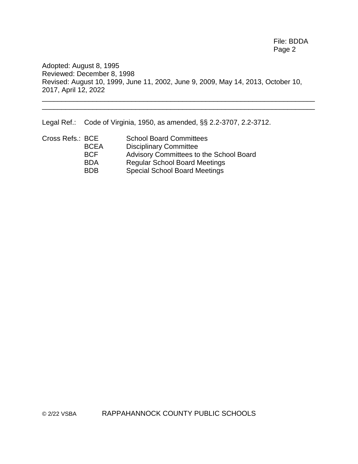File: BDDA Page 2

Adopted: August 8, 1995 Reviewed: December 8, 1998 Revised: August 10, 1999, June 11, 2002, June 9, 2009, May 14, 2013, October 10, 2017, April 12, 2022 \_\_\_\_\_\_\_\_\_\_\_\_\_\_\_\_\_\_\_\_\_\_\_\_\_\_\_\_\_\_\_\_\_\_\_\_\_\_\_\_\_\_\_\_\_\_\_\_\_\_\_\_\_\_\_\_\_\_\_\_\_\_\_\_\_\_\_\_\_\_

\_\_\_\_\_\_\_\_\_\_\_\_\_\_\_\_\_\_\_\_\_\_\_\_\_\_\_\_\_\_\_\_\_\_\_\_\_\_\_\_\_\_\_\_\_\_\_\_\_\_\_\_\_\_\_\_\_\_\_\_\_\_\_\_\_\_\_\_\_\_

Legal Ref.: Code of Virginia, 1950, as amended, §§ 2.2-3707, 2.2-3712.

| Cross Refs.: BCE |             | <b>School Board Committees</b>          |
|------------------|-------------|-----------------------------------------|
|                  | <b>BCEA</b> | <b>Disciplinary Committee</b>           |
|                  | <b>BCF</b>  | Advisory Committees to the School Board |
|                  | <b>BDA</b>  | <b>Regular School Board Meetings</b>    |
|                  | <b>BDB</b>  | <b>Special School Board Meetings</b>    |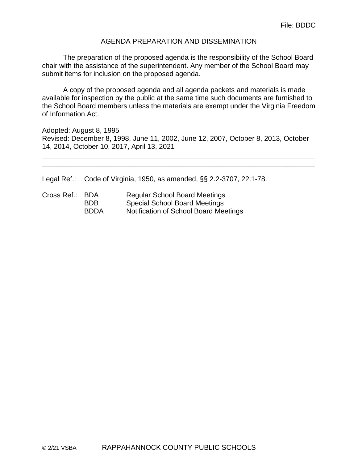#### AGENDA PREPARATION AND DISSEMINATION

The preparation of the proposed agenda is the responsibility of the School Board chair with the assistance of the superintendent. Any member of the School Board may submit items for inclusion on the proposed agenda.

A copy of the proposed agenda and all agenda packets and materials is made available for inspection by the public at the same time such documents are furnished to the School Board members unless the materials are exempt under the Virginia Freedom of Information Act.

Adopted: August 8, 1995 Revised: December 8, 1998, June 11, 2002, June 12, 2007, October 8, 2013, October 14, 2014, October 10, 2017, April 13, 2021

\_\_\_\_\_\_\_\_\_\_\_\_\_\_\_\_\_\_\_\_\_\_\_\_\_\_\_\_\_\_\_\_\_\_\_\_\_\_\_\_\_\_\_\_\_\_\_\_\_\_\_\_\_\_\_\_\_\_\_\_\_\_\_\_\_\_\_\_\_\_ \_\_\_\_\_\_\_\_\_\_\_\_\_\_\_\_\_\_\_\_\_\_\_\_\_\_\_\_\_\_\_\_\_\_\_\_\_\_\_\_\_\_\_\_\_\_\_\_\_\_\_\_\_\_\_\_\_\_\_\_\_\_\_\_\_\_\_\_\_\_

Legal Ref.: Code of Virginia, 1950, as amended, §§ 2.2-3707, 22.1-78.

Cross Ref.: BDA Regular School Board Meetings BDB Special School Board Meetings BDDA Notification of School Board Meetings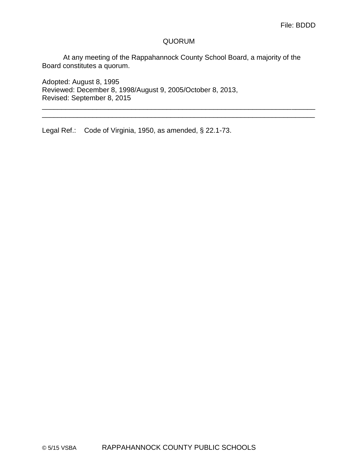### QUORUM

\_\_\_\_\_\_\_\_\_\_\_\_\_\_\_\_\_\_\_\_\_\_\_\_\_\_\_\_\_\_\_\_\_\_\_\_\_\_\_\_\_\_\_\_\_\_\_\_\_\_\_\_\_\_\_\_\_\_\_\_\_\_\_\_\_\_\_\_\_\_ \_\_\_\_\_\_\_\_\_\_\_\_\_\_\_\_\_\_\_\_\_\_\_\_\_\_\_\_\_\_\_\_\_\_\_\_\_\_\_\_\_\_\_\_\_\_\_\_\_\_\_\_\_\_\_\_\_\_\_\_\_\_\_\_\_\_\_\_\_\_

At any meeting of the Rappahannock County School Board, a majority of the Board constitutes a quorum.

Adopted: August 8, 1995 Reviewed: December 8, 1998/August 9, 2005/October 8, 2013, Revised: September 8, 2015

Legal Ref.: Code of Virginia, 1950, as amended, § 22.1-73.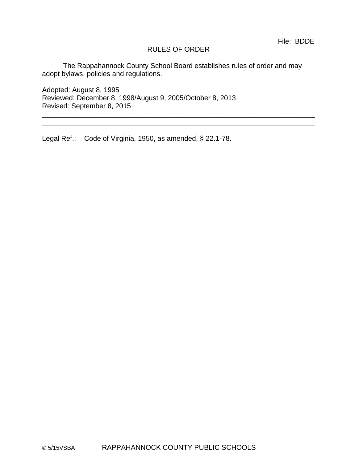### RULES OF ORDER

\_\_\_\_\_\_\_\_\_\_\_\_\_\_\_\_\_\_\_\_\_\_\_\_\_\_\_\_\_\_\_\_\_\_\_\_\_\_\_\_\_\_\_\_\_\_\_\_\_\_\_\_\_\_\_\_\_\_\_\_\_\_\_\_\_\_\_\_\_\_ \_\_\_\_\_\_\_\_\_\_\_\_\_\_\_\_\_\_\_\_\_\_\_\_\_\_\_\_\_\_\_\_\_\_\_\_\_\_\_\_\_\_\_\_\_\_\_\_\_\_\_\_\_\_\_\_\_\_\_\_\_\_\_\_\_\_\_\_\_\_

The Rappahannock County School Board establishes rules of order and may adopt bylaws, policies and regulations.

Adopted: August 8, 1995 Reviewed: December 8, 1998/August 9, 2005/October 8, 2013 Revised: September 8, 2015

Legal Ref.: Code of Virginia, 1950, as amended, § 22.1-78.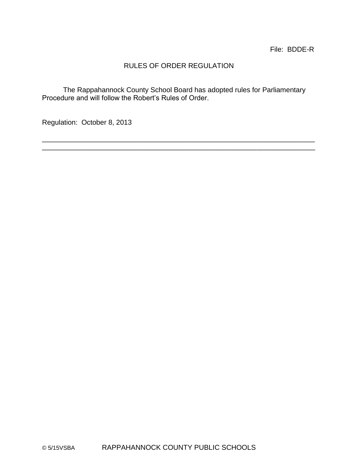## RULES OF ORDER REGULATION

The Rappahannock County School Board has adopted rules for Parliamentary Procedure and will follow the Robert's Rules of Order.

\_\_\_\_\_\_\_\_\_\_\_\_\_\_\_\_\_\_\_\_\_\_\_\_\_\_\_\_\_\_\_\_\_\_\_\_\_\_\_\_\_\_\_\_\_\_\_\_\_\_\_\_\_\_\_\_\_\_\_\_\_\_\_\_\_\_\_\_\_\_ \_\_\_\_\_\_\_\_\_\_\_\_\_\_\_\_\_\_\_\_\_\_\_\_\_\_\_\_\_\_\_\_\_\_\_\_\_\_\_\_\_\_\_\_\_\_\_\_\_\_\_\_\_\_\_\_\_\_\_\_\_\_\_\_\_\_\_\_\_\_

Regulation: October 8, 2013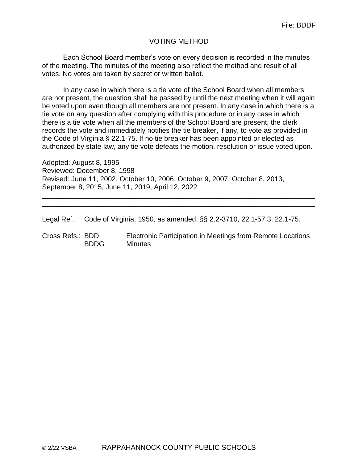### VOTING METHOD

Each School Board member's vote on every decision is recorded in the minutes of the meeting. The minutes of the meeting also reflect the method and result of all votes. No votes are taken by secret or written ballot.

In any case in which there is a tie vote of the School Board when all members are not present, the question shall be passed by until the next meeting when it will again be voted upon even though all members are not present. In any case in which there is a tie vote on any question after complying with this procedure or in any case in which there is a tie vote when all the members of the School Board are present, the clerk records the vote and immediately notifies the tie breaker, if any, to vote as provided in the Code of Virginia § 22.1-75. If no tie breaker has been appointed or elected as authorized by state law, any tie vote defeats the motion, resolution or issue voted upon.

Adopted: August 8, 1995 Reviewed: December 8, 1998 Revised: June 11, 2002, October 10, 2006, October 9, 2007, October 8, 2013, September 8, 2015, June 11, 2019, April 12, 2022

Legal Ref.: Code of Virginia, 1950, as amended, §§ 2.2-3710, 22.1-57.3, 22.1-75.

Cross Refs.: BDD Electronic Participation in Meetings from Remote Locations BDDG Minutes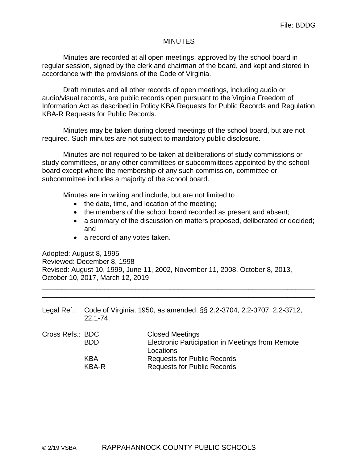#### **MINUTES**

Minutes are recorded at all open meetings, approved by the school board in regular session, signed by the clerk and chairman of the board, and kept and stored in accordance with the provisions of the Code of Virginia.

Draft minutes and all other records of open meetings, including audio or audio/visual records, are public records open pursuant to the Virginia Freedom of Information Act as described in Policy KBA Requests for Public Records and Regulation KBA-R Requests for Public Records.

Minutes may be taken during closed meetings of the school board, but are not required. Such minutes are not subject to mandatory public disclosure.

Minutes are not required to be taken at deliberations of study commissions or study committees, or any other committees or subcommittees appointed by the school board except where the membership of any such commission, committee or subcommittee includes a majority of the school board.

Minutes are in writing and include, but are not limited to

- the date, time, and location of the meeting;
- the members of the school board recorded as present and absent;
- a summary of the discussion on matters proposed, deliberated or decided; and
- a record of any votes taken.

Adopted: August 8, 1995 Reviewed: December 8, 1998 Revised: August 10, 1999, June 11, 2002, November 11, 2008, October 8, 2013, October 10, 2017, March 12, 2019

Legal Ref.: Code of Virginia, 1950, as amended, §§ 2.2-3704, 2.2-3707, 2.2-3712, 22.1-74.

| Cross Refs.: BDC | <b>Closed Meetings</b>                           |
|------------------|--------------------------------------------------|
| <b>BDD</b>       | Electronic Participation in Meetings from Remote |
|                  | Locations                                        |
| KBA              | <b>Requests for Public Records</b>               |
| KBA-R            | <b>Requests for Public Records</b>               |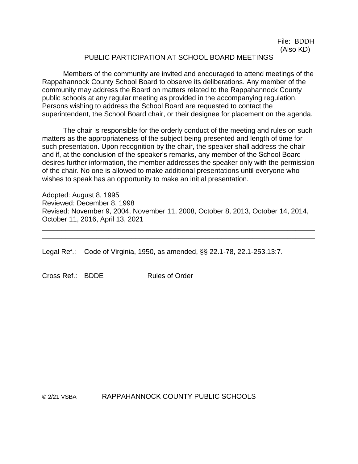#### PUBLIC PARTICIPATION AT SCHOOL BOARD MEETINGS

Members of the community are invited and encouraged to attend meetings of the Rappahannock County School Board to observe its deliberations. Any member of the community may address the Board on matters related to the Rappahannock County public schools at any regular meeting as provided in the accompanying regulation. Persons wishing to address the School Board are requested to contact the superintendent, the School Board chair, or their designee for placement on the agenda.

The chair is responsible for the orderly conduct of the meeting and rules on such matters as the appropriateness of the subject being presented and length of time for such presentation. Upon recognition by the chair, the speaker shall address the chair and if, at the conclusion of the speaker's remarks, any member of the School Board desires further information, the member addresses the speaker only with the permission of the chair. No one is allowed to make additional presentations until everyone who wishes to speak has an opportunity to make an initial presentation.

Adopted: August 8, 1995 Reviewed: December 8, 1998 Revised: November 9, 2004, November 11, 2008, October 8, 2013, October 14, 2014, October 11, 2016, April 13, 2021 \_\_\_\_\_\_\_\_\_\_\_\_\_\_\_\_\_\_\_\_\_\_\_\_\_\_\_\_\_\_\_\_\_\_\_\_\_\_\_\_\_\_\_\_\_\_\_\_\_\_\_\_\_\_\_\_\_\_\_\_\_\_\_\_\_\_\_\_\_\_

\_\_\_\_\_\_\_\_\_\_\_\_\_\_\_\_\_\_\_\_\_\_\_\_\_\_\_\_\_\_\_\_\_\_\_\_\_\_\_\_\_\_\_\_\_\_\_\_\_\_\_\_\_\_\_\_\_\_\_\_\_\_\_\_\_\_\_\_\_\_

Legal Ref.: Code of Virginia, 1950, as amended, §§ 22.1-78, 22.1-253.13:7.

Cross Ref.: BDDF Rules of Order

© 2/21 VSBA RAPPAHANNOCK COUNTY PUBLIC SCHOOLS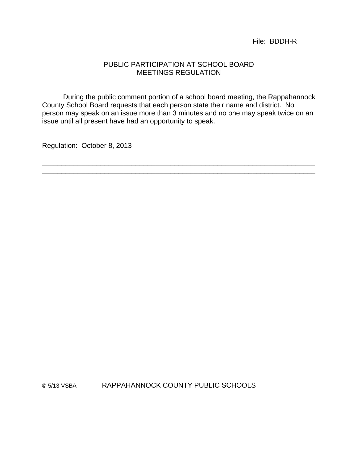File: BDDH-R

#### PUBLIC PARTICIPATION AT SCHOOL BOARD MEETINGS REGULATION

During the public comment portion of a school board meeting, the Rappahannock County School Board requests that each person state their name and district. No person may speak on an issue more than 3 minutes and no one may speak twice on an issue until all present have had an opportunity to speak.

\_\_\_\_\_\_\_\_\_\_\_\_\_\_\_\_\_\_\_\_\_\_\_\_\_\_\_\_\_\_\_\_\_\_\_\_\_\_\_\_\_\_\_\_\_\_\_\_\_\_\_\_\_\_\_\_\_\_\_\_\_\_\_\_\_\_\_\_\_\_ \_\_\_\_\_\_\_\_\_\_\_\_\_\_\_\_\_\_\_\_\_\_\_\_\_\_\_\_\_\_\_\_\_\_\_\_\_\_\_\_\_\_\_\_\_\_\_\_\_\_\_\_\_\_\_\_\_\_\_\_\_\_\_\_\_\_\_\_\_\_

Regulation: October 8, 2013

© 5/13 VSBA RAPPAHANNOCK COUNTY PUBLIC SCHOOLS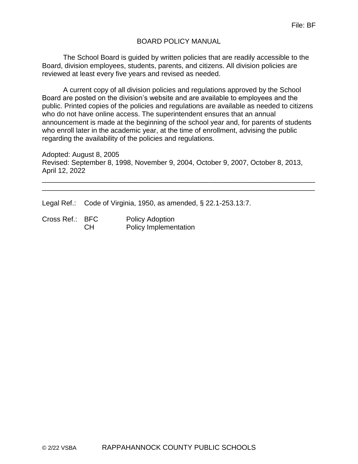### BOARD POLICY MANUAL

The School Board is guided by written policies that are readily accessible to the Board, division employees, students, parents, and citizens. All division policies are reviewed at least every five years and revised as needed.

A current copy of all division policies and regulations approved by the School Board are posted on the division's website and are available to employees and the public. Printed copies of the policies and regulations are available as needed to citizens who do not have online access. The superintendent ensures that an annual announcement is made at the beginning of the school year and, for parents of students who enroll later in the academic year, at the time of enrollment, advising the public regarding the availability of the policies and regulations.

Adopted: August 8, 2005 Revised: September 8, 1998, November 9, 2004, October 9, 2007, October 8, 2013, April 12, 2022

\_\_\_\_\_\_\_\_\_\_\_\_\_\_\_\_\_\_\_\_\_\_\_\_\_\_\_\_\_\_\_\_\_\_\_\_\_\_\_\_\_\_\_\_\_\_\_\_\_\_\_\_\_\_\_\_\_\_\_\_\_\_\_\_\_\_\_\_\_\_ \_\_\_\_\_\_\_\_\_\_\_\_\_\_\_\_\_\_\_\_\_\_\_\_\_\_\_\_\_\_\_\_\_\_\_\_\_\_\_\_\_\_\_\_\_\_\_\_\_\_\_\_\_\_\_\_\_\_\_\_\_\_\_\_\_\_\_\_\_\_

Legal Ref.: Code of Virginia, 1950, as amended, § 22.1-253.13:7.

Cross Ref.: BFC Policy Adoption CH Policy Implementation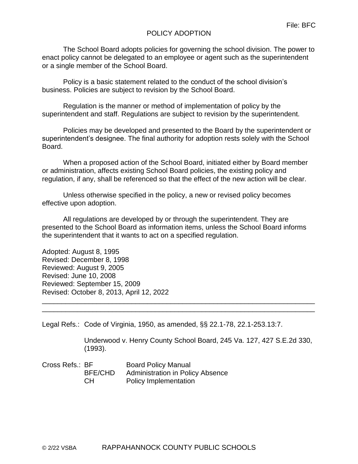### POLICY ADOPTION

The School Board adopts policies for governing the school division. The power to enact policy cannot be delegated to an employee or agent such as the superintendent or a single member of the School Board.

Policy is a basic statement related to the conduct of the school division's business. Policies are subject to revision by the School Board.

Regulation is the manner or method of implementation of policy by the superintendent and staff. Regulations are subject to revision by the superintendent.

Policies may be developed and presented to the Board by the superintendent or superintendent's designee. The final authority for adoption rests solely with the School Board.

When a proposed action of the School Board, initiated either by Board member or administration, affects existing School Board policies, the existing policy and regulation, if any, shall be referenced so that the effect of the new action will be clear.

Unless otherwise specified in the policy, a new or revised policy becomes effective upon adoption.

All regulations are developed by or through the superintendent. They are presented to the School Board as information items, unless the School Board informs the superintendent that it wants to act on a specified regulation.

\_\_\_\_\_\_\_\_\_\_\_\_\_\_\_\_\_\_\_\_\_\_\_\_\_\_\_\_\_\_\_\_\_\_\_\_\_\_\_\_\_\_\_\_\_\_\_\_\_\_\_\_\_\_\_\_\_\_\_\_\_\_\_\_\_\_\_\_\_\_ \_\_\_\_\_\_\_\_\_\_\_\_\_\_\_\_\_\_\_\_\_\_\_\_\_\_\_\_\_\_\_\_\_\_\_\_\_\_\_\_\_\_\_\_\_\_\_\_\_\_\_\_\_\_\_\_\_\_\_\_\_\_\_\_\_\_\_\_\_\_

Adopted: August 8, 1995 Revised: December 8, 1998 Reviewed: August 9, 2005 Revised: June 10, 2008 Reviewed: September 15, 2009 Revised: October 8, 2013, April 12, 2022

Legal Refs.: Code of Virginia, 1950, as amended, §§ 22.1-78, 22.1-253.13:7.

Underwood v. Henry County School Board, 245 Va. 127, 427 S.E.2d 330, (1993).

| Cross Refs.: BF |                | <b>Board Policy Manual</b>              |
|-----------------|----------------|-----------------------------------------|
|                 | <b>BFE/CHD</b> | <b>Administration in Policy Absence</b> |
|                 | CH.            | <b>Policy Implementation</b>            |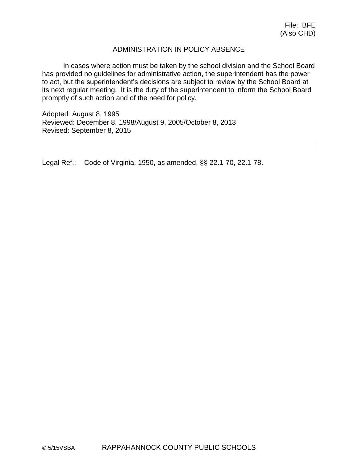### ADMINISTRATION IN POLICY ABSENCE

In cases where action must be taken by the school division and the School Board has provided no guidelines for administrative action, the superintendent has the power to act, but the superintendent's decisions are subject to review by the School Board at its next regular meeting. It is the duty of the superintendent to inform the School Board promptly of such action and of the need for policy.

\_\_\_\_\_\_\_\_\_\_\_\_\_\_\_\_\_\_\_\_\_\_\_\_\_\_\_\_\_\_\_\_\_\_\_\_\_\_\_\_\_\_\_\_\_\_\_\_\_\_\_\_\_\_\_\_\_\_\_\_\_\_\_\_\_\_\_\_\_\_ \_\_\_\_\_\_\_\_\_\_\_\_\_\_\_\_\_\_\_\_\_\_\_\_\_\_\_\_\_\_\_\_\_\_\_\_\_\_\_\_\_\_\_\_\_\_\_\_\_\_\_\_\_\_\_\_\_\_\_\_\_\_\_\_\_\_\_\_\_\_

Adopted: August 8, 1995 Reviewed: December 8, 1998/August 9, 2005/October 8, 2013 Revised: September 8, 2015

Legal Ref.: Code of Virginia, 1950, as amended, §§ 22.1-70, 22.1-78.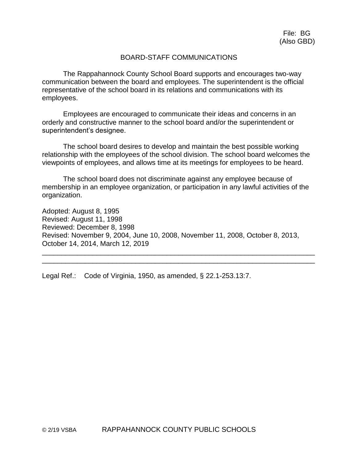#### BOARD-STAFF COMMUNICATIONS

The Rappahannock County School Board supports and encourages two-way communication between the board and employees. The superintendent is the official representative of the school board in its relations and communications with its employees.

Employees are encouraged to communicate their ideas and concerns in an orderly and constructive manner to the school board and/or the superintendent or superintendent's designee.

The school board desires to develop and maintain the best possible working relationship with the employees of the school division. The school board welcomes the viewpoints of employees, and allows time at its meetings for employees to be heard.

The school board does not discriminate against any employee because of membership in an employee organization, or participation in any lawful activities of the organization.

Adopted: August 8, 1995 Revised: August 11, 1998 Reviewed: December 8, 1998 Revised: November 9, 2004, June 10, 2008, November 11, 2008, October 8, 2013, October 14, 2014, March 12, 2019

\_\_\_\_\_\_\_\_\_\_\_\_\_\_\_\_\_\_\_\_\_\_\_\_\_\_\_\_\_\_\_\_\_\_\_\_\_\_\_\_\_\_\_\_\_\_\_\_\_\_\_\_\_\_\_\_\_\_\_\_\_\_\_\_\_\_\_\_\_\_ \_\_\_\_\_\_\_\_\_\_\_\_\_\_\_\_\_\_\_\_\_\_\_\_\_\_\_\_\_\_\_\_\_\_\_\_\_\_\_\_\_\_\_\_\_\_\_\_\_\_\_\_\_\_\_\_\_\_\_\_\_\_\_\_\_\_\_\_\_\_

Legal Ref.: Code of Virginia, 1950, as amended, § 22.1-253.13:7.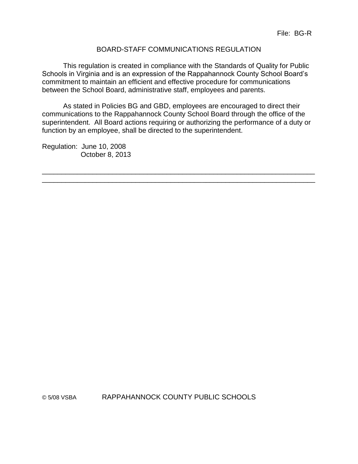### BOARD-STAFF COMMUNICATIONS REGULATION

This regulation is created in compliance with the Standards of Quality for Public Schools in Virginia and is an expression of the Rappahannock County School Board's commitment to maintain an efficient and effective procedure for communications between the School Board, administrative staff, employees and parents.

As stated in Policies BG and GBD, employees are encouraged to direct their communications to the Rappahannock County School Board through the office of the superintendent. All Board actions requiring or authorizing the performance of a duty or function by an employee, shall be directed to the superintendent.

\_\_\_\_\_\_\_\_\_\_\_\_\_\_\_\_\_\_\_\_\_\_\_\_\_\_\_\_\_\_\_\_\_\_\_\_\_\_\_\_\_\_\_\_\_\_\_\_\_\_\_\_\_\_\_\_\_\_\_\_\_\_\_\_\_\_\_\_\_\_ \_\_\_\_\_\_\_\_\_\_\_\_\_\_\_\_\_\_\_\_\_\_\_\_\_\_\_\_\_\_\_\_\_\_\_\_\_\_\_\_\_\_\_\_\_\_\_\_\_\_\_\_\_\_\_\_\_\_\_\_\_\_\_\_\_\_\_\_\_\_

Regulation: June 10, 2008 October 8, 2013

© 5/08 VSBA RAPPAHANNOCK COUNTY PUBLIC SCHOOLS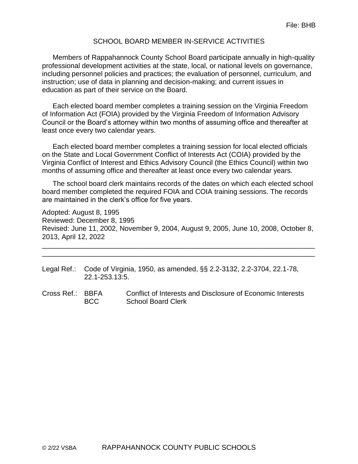#### SCHOOL BOARD MEMBER IN-SERVICE ACTIVITIES

Members of Rappahannock County School Board participate annually in high-quality professional development activities at the state, local, or national levels on governance, including personnel policies and practices; the evaluation of personnel, curriculum, and instruction; use of data in planning and decision-making; and current issues in education as part of their service on the Board.

Each elected board member completes a training session on the Virginia Freedom of Information Act (FOIA) provided by the Virginia Freedom of Information Advisory Council or the Board's attorney within two months of assuming office and thereafter at least once every two calendar years.

Each elected board member completes a training session for local elected officials on the State and Local Government Conflict of Interests Act (COIA) provided by the Virginia Conflict of Interest and Ethics Advisory Council (the Ethics Council) within two months of assuming office and thereafter at least once every two calendar years.

The school board clerk maintains records of the dates on which each elected school board member completed the required FOIA and COIA training sessions. The records are maintained in the clerk's office for five years.

Adopted: August 8, 1995 Reviewed: December 8, 1995 Revised: June 11, 2002, November 9, 2004, August 9, 2005, June 10, 2008, October 8, 2013, April 12, 2022

- Legal Ref.: Code of Virginia, 1950, as amended, §§ 2.2-3132, 2.2-3704, 22.1-78, 22.1-253.13:5.
- Cross Ref.: BBFA Conflict of Interests and Disclosure of Economic Interests BCC School Board Clerk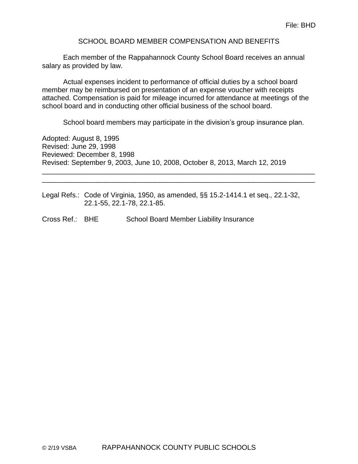#### SCHOOL BOARD MEMBER COMPENSATION AND BENEFITS

Each member of the Rappahannock County School Board receives an annual salary as provided by law.

Actual expenses incident to performance of official duties by a school board member may be reimbursed on presentation of an expense voucher with receipts attached. Compensation is paid for mileage incurred for attendance at meetings of the school board and in conducting other official business of the school board.

School board members may participate in the division's group insurance plan.

Adopted: August 8, 1995 Revised: June 29, 1998 Reviewed: December 8, 1998 Revised: September 9, 2003, June 10, 2008, October 8, 2013, March 12, 2019

Legal Refs.: Code of Virginia, 1950, as amended, §§ 15.2-1414.1 et seq., 22.1-32, 22.1-55, 22.1-78, 22.1-85.

\_\_\_\_\_\_\_\_\_\_\_\_\_\_\_\_\_\_\_\_\_\_\_\_\_\_\_\_\_\_\_\_\_\_\_\_\_\_\_\_\_\_\_\_\_\_\_\_\_\_\_\_\_\_\_\_\_\_\_\_\_\_\_\_\_\_\_\_\_\_ \_\_\_\_\_\_\_\_\_\_\_\_\_\_\_\_\_\_\_\_\_\_\_\_\_\_\_\_\_\_\_\_\_\_\_\_\_\_\_\_\_\_\_\_\_\_\_\_\_\_\_\_\_\_\_\_\_\_\_\_\_\_\_\_\_\_\_\_\_\_

Cross Ref.: BHE School Board Member Liability Insurance